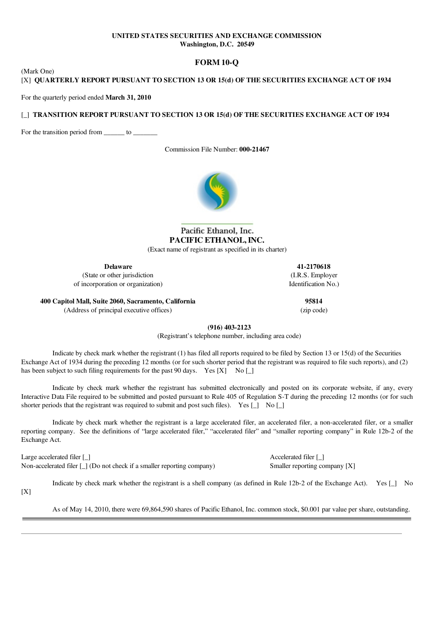## UNITED STATES SECURITIES AND EXCHANGE COMMISSION Washington, D.C. 20549

## FORM 10-Q

[X] QUARTERLY REPORT PURSUANT TO SECTION 13 OR 15(d) OF THE SECURITIES EXCHANGE ACT OF 1934

For the quarterly period ended March 31, 2010

(Mark One)

## [ ] TRANSITION REPORT PURSUANT TO SECTION 13 OR 15(d) OF THE SECURITIES EXCHANGE ACT OF 1934

For the transition period from \_\_\_\_\_\_ to \_\_\_\_\_\_\_

Commission File Number: 000-21467



# Pacific Ethanol, Inc. PACIFIC ETHANOL, INC.

(Exact name of registrant as specified in its charter)

Delaware

(State or other jurisdiction of incorporation or organization)

41-2170618 (I.R.S. Employer Identification No.)

400 Capitol Mall, Suite 2060, Sacramento, California 95814 (Address of principal executive offices) (zip code)

(916) 403-2123

(Registrant's telephone number, including area code)

Indicate by check mark whether the registrant (1) has filed all reports required to be filed by Section 13 or 15(d) of the Securities Exchange Act of 1934 during the preceding 12 months (or for such shorter period that the registrant was required to file such reports), and (2) has been subject to such filing requirements for the past 90 days. Yes  $[X]$  No  $[]$ 

Indicate by check mark whether the registrant has submitted electronically and posted on its corporate website, if any, every Interactive Data File required to be submitted and posted pursuant to Rule 405 of Regulation S-T during the preceding 12 months (or for such shorter periods that the registrant was required to submit and post such files). Yes  $\begin{bmatrix} 1 \\ 2 \end{bmatrix}$  No  $\begin{bmatrix} 1 \\ 2 \end{bmatrix}$ 

Indicate by check mark whether the registrant is a large accelerated filer, an accelerated filer, a non-accelerated filer, or a smaller reporting company. See the definitions of "large accelerated filer," "accelerated filer" and "smaller reporting company" in Rule 12b-2 of the Exchange Act.

Large accelerated filer [ ] Accelerated filer [ ] Non-accelerated filer [\_] (Do not check if a smaller reporting company) Smaller reporting company [X]

Indicate by check mark whether the registrant is a shell company (as defined in Rule 12b-2 of the Exchange Act). Yes  $\lceil \cdot \rceil$  No

 $[X]$ 

As of May 14, 2010, there were 69,864,590 shares of Pacific Ethanol, Inc. common stock, \$0.001 par value per share, outstanding.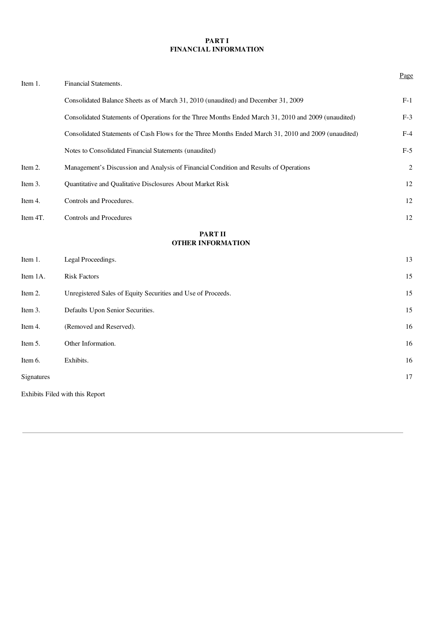## PART I FINANCIAL INFORMATION

| Item 1.    | Financial Statements.                                                                                | Page       |
|------------|------------------------------------------------------------------------------------------------------|------------|
|            | Consolidated Balance Sheets as of March 31, 2010 (unaudited) and December 31, 2009                   | $F-1$      |
|            | Consolidated Statements of Operations for the Three Months Ended March 31, 2010 and 2009 (unaudited) | $F-3$      |
|            | Consolidated Statements of Cash Flows for the Three Months Ended March 31, 2010 and 2009 (unaudited) | $F-4$      |
|            | Notes to Consolidated Financial Statements (unaudited)                                               | $F-5$      |
| Item 2.    | Management's Discussion and Analysis of Financial Condition and Results of Operations                | $\sqrt{2}$ |
| Item 3.    | Quantitative and Qualitative Disclosures About Market Risk                                           | 12         |
| Item 4.    | Controls and Procedures.                                                                             | 12         |
| Item 4T.   | Controls and Procedures                                                                              | 12         |
|            | <b>PART II</b><br><b>OTHER INFORMATION</b>                                                           |            |
| Item 1.    | Legal Proceedings.                                                                                   | 13         |
| Item 1A.   | <b>Risk Factors</b>                                                                                  | 15         |
| Item 2.    | Unregistered Sales of Equity Securities and Use of Proceeds.                                         | 15         |
| Item 3.    | Defaults Upon Senior Securities.                                                                     | 15         |
| Item 4.    | (Removed and Reserved).                                                                              | 16         |
| Item 5.    | Other Information.                                                                                   | 16         |
| Item 6.    | Exhibits.                                                                                            | 16         |
| Signatures |                                                                                                      | 17         |
|            | Exhibits Filed with this Report                                                                      |            |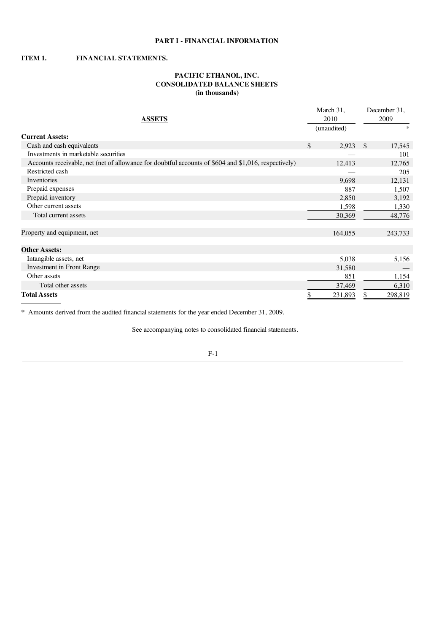## PART I - FINANCIAL INFORMATION

## ITEM 1. FINANCIAL STATEMENTS.

## PACIFIC ETHANOL, INC. CONSOLIDATED BALANCE SHEETS (in thousands)

| <b>ASSETS</b>                                                                                        | March 31,<br>2010 |               | December 31,<br>2009 |
|------------------------------------------------------------------------------------------------------|-------------------|---------------|----------------------|
|                                                                                                      | (unaudited)       |               | *                    |
| <b>Current Assets:</b>                                                                               |                   |               |                      |
| Cash and cash equivalents                                                                            | \$<br>2,923       | <sup>\$</sup> | 17,545               |
| Investments in marketable securities                                                                 |                   |               | 101                  |
| Accounts receivable, net (net of allowance for doubtful accounts of \$604 and \$1,016, respectively) | 12,413            |               | 12,765               |
| Restricted cash                                                                                      |                   |               | 205                  |
| Inventories                                                                                          | 9,698             |               | 12,131               |
| Prepaid expenses                                                                                     | 887               |               | 1,507                |
| Prepaid inventory                                                                                    | 2,850             |               | 3,192                |
| Other current assets                                                                                 | 1,598             |               | 1,330                |
| Total current assets                                                                                 | 30,369            |               | 48,776               |
|                                                                                                      |                   |               |                      |
| Property and equipment, net                                                                          | 164,055           |               | 243,733              |
|                                                                                                      |                   |               |                      |
| <b>Other Assets:</b>                                                                                 |                   |               |                      |
| Intangible assets, net                                                                               | 5,038             |               | 5,156                |
| <b>Investment in Front Range</b>                                                                     | 31,580            |               |                      |
| Other assets                                                                                         | 851               |               | 1,154                |
| Total other assets                                                                                   | 37,469            |               | 6,310                |
| <b>Total Assets</b>                                                                                  | 231,893           |               | 298,819              |

\* Amounts derived from the audited financial statements for the year ended December 31, 2009.

See accompanying notes to consolidated financial statements.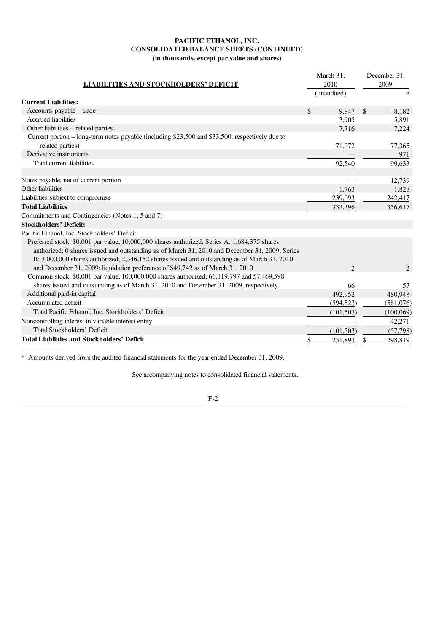## PACIFIC ETHANOL, INC. CONSOLIDATED BALANCE SHEETS (CONTINUED) (in thousands, except par value and shares)

| <b>LIABILITIES AND STOCKHOLDERS' DEFICIT</b>                                                    | March 31,<br>2010 | December 31,<br>2009   |
|-------------------------------------------------------------------------------------------------|-------------------|------------------------|
|                                                                                                 | (unaudited)       | $\ast$                 |
| <b>Current Liabilities:</b>                                                                     |                   |                        |
| Accounts payable – trade                                                                        | \$<br>9,847       | $\mathcal{S}$<br>8,182 |
| <b>Accrued liabilities</b>                                                                      | 3,905             | 5,891                  |
| Other liabilities – related parties                                                             | 7,716             | 7,224                  |
| Current portion – long-term notes payable (including \$23,500 and \$33,500, respectively due to |                   |                        |
| related parties)                                                                                | 71,072            | 77,365                 |
| Derivative instruments                                                                          |                   | 971                    |
| Total current liabilities                                                                       | 92,540            | 99,633                 |
|                                                                                                 |                   |                        |
| Notes payable, net of current portion                                                           |                   | 12,739                 |
| Other liabilities                                                                               | 1,763             | 1,828                  |
| Liabilities subject to compromise                                                               | 239,093           | 242,417                |
| <b>Total Liabilities</b>                                                                        | 333,396           | 356,617                |
| Commitments and Contingencies (Notes 1, 5 and 7)                                                |                   |                        |
| <b>Stockholders' Deficit:</b>                                                                   |                   |                        |
| Pacific Ethanol, Inc. Stockholders' Deficit:                                                    |                   |                        |
| Preferred stock, \$0.001 par value; 10,000,000 shares authorized; Series A: 1,684,375 shares    |                   |                        |
| authorized; 0 shares issued and outstanding as of March 31, 2010 and December 31, 2009; Series  |                   |                        |
| $B: 3,000,000$ shares authorized; 2,346,152 shares issued and outstanding as of March 31, 2010  |                   |                        |
| and December 31, 2009; liquidation preference of \$49,742 as of March 31, 2010                  | $\overline{2}$    | $\overline{c}$         |
| Common stock, \$0.001 par value; 100,000,000 shares authorized; 66,119,797 and 57,469,598       |                   |                        |
| shares issued and outstanding as of March 31, 2010 and December 31, 2009, respectively          | 66                | 57                     |
| Additional paid-in capital                                                                      | 492,952           | 480,948                |
| Accumulated deficit                                                                             | (594, 523)        | (581,076)              |
| Total Pacific Ethanol, Inc. Stockholders' Deficit                                               | (101, 503)        | (100,069)              |
| Noncontrolling interest in variable interest entity                                             |                   | 42,271                 |
| Total Stockholders' Deficit                                                                     | (101, 503)        | (57, 798)              |
| <b>Total Liabilities and Stockholders' Deficit</b>                                              | 231,893<br>\$     | 298,819<br>\$          |

\* Amounts derived from the audited financial statements for the year ended December 31, 2009.

See accompanying notes to consolidated financial statements.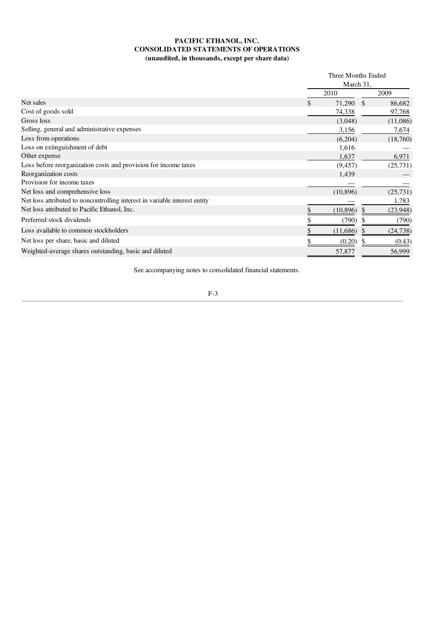## PACIFIC ETHANOL, INC. CONSOLIDATED STATEMENTS OF OPERATIONS (unaudited, in thousands, except per share data)

|                                                                            |      | Three Months Ended |           |  |
|----------------------------------------------------------------------------|------|--------------------|-----------|--|
|                                                                            |      | March 31,          |           |  |
|                                                                            | 2010 |                    | 2009      |  |
| Net sales                                                                  | S.   | 71,290<br>\$       | 86,682    |  |
| Cost of goods sold                                                         |      | 74,338             | 97,768    |  |
| Gross loss                                                                 |      | (3,048)            | (11,086)  |  |
| Selling, general and administrative expenses                               |      | 3,156              | 7,674     |  |
| Loss from operations                                                       |      | (6,204)            | (18,760)  |  |
| Loss on extinguishment of debt                                             |      | 1,616              |           |  |
| Other expense                                                              |      | 1,637              | 6,971     |  |
| Loss before reorganization costs and provision for income taxes            |      | (9, 457)           | (25, 731) |  |
| Reorganization costs                                                       |      | 1,439              |           |  |
| Provision for income taxes                                                 |      |                    |           |  |
| Net loss and comprehensive loss                                            |      | (10, 896)          | (25, 731) |  |
| Net loss attributed to noncontrolling interest in variable interest entity |      |                    | 1,783     |  |
| Net loss attributed to Pacific Ethanol, Inc.                               |      | (10, 896)          | (23,948)  |  |
| Preferred stock dividends                                                  |      | (790)              | (790)     |  |
| Loss available to common stockholders                                      |      | (11,686)           | (24, 738) |  |
| Net loss per share, basic and diluted                                      |      | (0.20)             | (0.43)    |  |
| Weighted-average shares outstanding, basic and diluted                     |      | 57,877             | 56,999    |  |
|                                                                            |      |                    |           |  |

See accompanying notes to consolidated financial statements.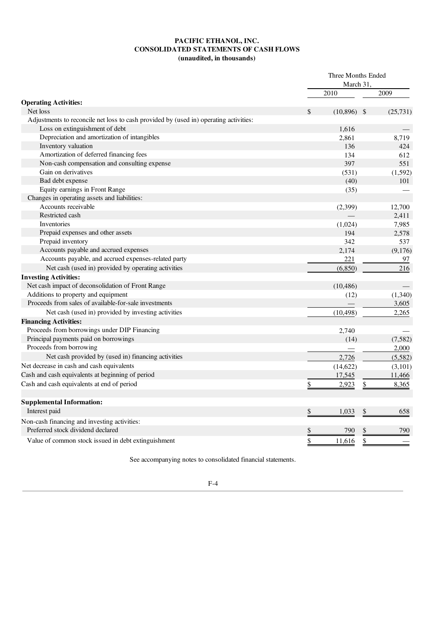## PACIFIC ETHANOL, INC. CONSOLIDATED STATEMENTS OF CASH FLOWS (unaudited, in thousands)

|                                                                                       | Three Months Ended<br>March 31. |           |               |           |
|---------------------------------------------------------------------------------------|---------------------------------|-----------|---------------|-----------|
|                                                                                       |                                 | 2010      |               | 2009      |
| <b>Operating Activities:</b>                                                          |                                 |           |               |           |
| Net loss                                                                              | \$                              | (10, 896) | - \$          | (25, 731) |
| Adjustments to reconcile net loss to cash provided by (used in) operating activities: |                                 |           |               |           |
| Loss on extinguishment of debt                                                        |                                 | 1,616     |               |           |
| Depreciation and amortization of intangibles                                          |                                 | 2,861     |               | 8,719     |
| Inventory valuation                                                                   |                                 | 136       |               | 424       |
| Amortization of deferred financing fees                                               |                                 | 134       |               | 612       |
| Non-cash compensation and consulting expense                                          |                                 | 397       |               | 551       |
| Gain on derivatives                                                                   |                                 | (531)     |               | (1, 592)  |
| Bad debt expense                                                                      |                                 | (40)      |               | 101       |
| Equity earnings in Front Range                                                        |                                 | (35)      |               |           |
| Changes in operating assets and liabilities:                                          |                                 |           |               |           |
| Accounts receivable                                                                   |                                 | (2,399)   |               | 12,700    |
| Restricted cash                                                                       |                                 |           |               | 2,411     |
| Inventories                                                                           |                                 | (1,024)   |               | 7,985     |
| Prepaid expenses and other assets                                                     |                                 | 194       |               | 2,578     |
| Prepaid inventory                                                                     |                                 | 342       |               | 537       |
| Accounts payable and accrued expenses                                                 |                                 | 2,174     |               | (9,176)   |
| Accounts payable, and accrued expenses-related party                                  |                                 | 221       |               | 97        |
| Net cash (used in) provided by operating activities                                   |                                 | (6, 850)  |               | 216       |
| <b>Investing Activities:</b>                                                          |                                 |           |               |           |
| Net cash impact of deconsolidation of Front Range                                     |                                 | (10, 486) |               |           |
| Additions to property and equipment                                                   |                                 | (12)      |               | (1,340)   |
| Proceeds from sales of available-for-sale investments                                 |                                 |           |               | 3,605     |
| Net cash (used in) provided by investing activities                                   |                                 | (10, 498) |               | 2,265     |
| <b>Financing Activities:</b>                                                          |                                 |           |               |           |
| Proceeds from borrowings under DIP Financing                                          |                                 | 2,740     |               |           |
| Principal payments paid on borrowings                                                 |                                 | (14)      |               | (7,582)   |
| Proceeds from borrowing                                                               |                                 |           |               | 2,000     |
| Net cash provided by (used in) financing activities                                   |                                 | 2,726     |               | (5,582)   |
| Net decrease in cash and cash equivalents                                             |                                 | (14, 622) |               | (3,101)   |
| Cash and cash equivalents at beginning of period                                      |                                 | 17,545    |               | 11,466    |
| Cash and cash equivalents at end of period                                            | \$                              | 2,923     | \$            | 8,365     |
|                                                                                       |                                 |           |               |           |
| <b>Supplemental Information:</b>                                                      |                                 |           |               |           |
| Interest paid                                                                         | <u>\$</u>                       | 1,033     | $\frac{1}{2}$ | 658       |
| Non-cash financing and investing activities:                                          |                                 |           |               |           |
| Preferred stock dividend declared                                                     | \$                              | 790       |               | 790       |
| Value of common stock issued in debt extinguishment                                   | \$                              | 11,616    | \$            |           |

See accompanying notes to consolidated financial statements.

| ٠ |
|---|
|---|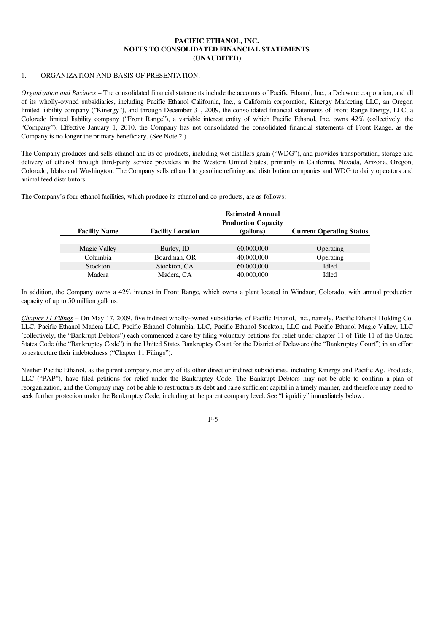### 1. ORGANIZATION AND BASIS OF PRESENTATION.

*Organization and Business* – The consolidated financial statements include the accounts of Pacific Ethanol, Inc., a Delaware corporation, and all of its wholly-owned subsidiaries, including Pacific Ethanol California, Inc., a California corporation, Kinergy Marketing LLC, an Oregon limited liability company ("Kinergy"), and through December 31, 2009, the consolidated financial statements of Front Range Energy, LLC, a Colorado limited liability company ("Front Range"), a variable interest entity of which Pacific Ethanol, Inc. owns 42% (collectively, the "Company"). Effective January 1, 2010, the Company has not consolidated the consolidated financial statements of Front Range, as the Company is no longer the primary beneficiary. (See Note 2.)

The Company produces and sells ethanol and its co-products, including wet distillers grain ("WDG"), and provides transportation, storage and delivery of ethanol through third-party service providers in the Western United States, primarily in California, Nevada, Arizona, Oregon, Colorado, Idaho and Washington. The Company sells ethanol to gasoline refining and distribution companies and WDG to dairy operators and animal feed distributors.

The Company's four ethanol facilities, which produce its ethanol and co-products, are as follows:

|                      |                          | <b>Estimated Annual</b><br><b>Production Capacity</b> |                                 |
|----------------------|--------------------------|-------------------------------------------------------|---------------------------------|
| <b>Facility Name</b> | <b>Facility Location</b> | (gallons)                                             | <b>Current Operating Status</b> |
|                      |                          |                                                       |                                 |
| Magic Valley         | Burley, ID               | 60,000,000                                            | Operating                       |
| Columbia             | Boardman, OR             | 40,000,000                                            | Operating                       |
| Stockton             | Stockton, CA             | 60,000,000                                            | Idled                           |
| Madera               | Madera, CA               | 40,000,000                                            | Idled                           |

In addition, the Company owns a 42% interest in Front Range, which owns a plant located in Windsor, Colorado, with annual production capacity of up to 50 million gallons.

*Chapter 11 Filings* – On May 17, 2009, five indirect wholly-owned subsidiaries of Pacific Ethanol, Inc., namely, Pacific Ethanol Holding Co. LLC, Pacific Ethanol Madera LLC, Pacific Ethanol Columbia, LLC, Pacific Ethanol Stockton, LLC and Pacific Ethanol Magic Valley, LLC (collectively, the "Bankrupt Debtors") each commenced a case by filing voluntary petitions for relief under chapter 11 of Title 11 of the United States Code (the "Bankruptcy Code") in the United States Bankruptcy Court for the District of Delaware (the "Bankruptcy Court") in an effort to restructure their indebtedness ("Chapter 11 Filings").

Neither Pacific Ethanol, as the parent company, nor any of its other direct or indirect subsidiaries, including Kinergy and Pacific Ag. Products, LLC ("PAP"), have filed petitions for relief under the Bankruptcy Code. The Bankrupt Debtors may not be able to confirm a plan of reorganization, and the Company may not be able to restructure its debt and raise sufficient capital in a timely manner, and therefore may need to seek further protection under the Bankruptcy Code, including at the parent company level. See "Liquidity" immediately below.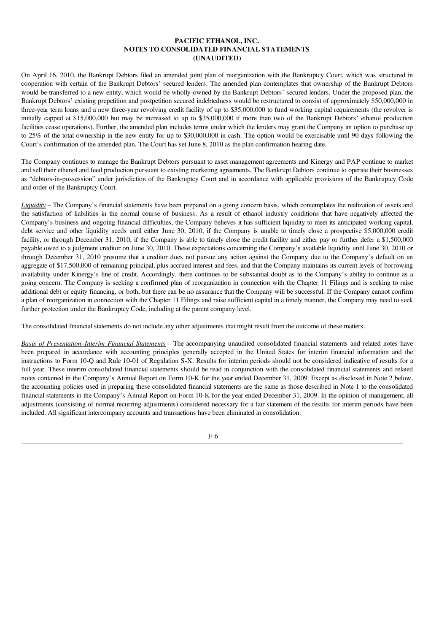On April 16, 2010, the Bankrupt Debtors filed an amended joint plan of reorganization with the Bankruptcy Court, which was structured in cooperation with certain of the Bankrupt Debtors' secured lenders. The amended plan contemplates that ownership of the Bankrupt Debtors would be transferred to a new entity, which would be wholly-owned by the Bankrupt Debtors' secured lenders. Under the proposed plan, the Bankrupt Debtors' existing prepetition and postpetition secured indebtedness would be restructured to consist of approximately \$50,000,000 in three-year term loans and a new three-year revolving credit facility of up to \$35,000,000 to fund working capital requirements (the revolver is initially capped at \$15,000,000 but may be increased to up to \$35,000,000 if more than two of the Bankrupt Debtors' ethanol production facilities cease operations). Further, the amended plan includes terms under which the lenders may grant the Company an option to purchase up to 25% of the total ownership in the new entity for up to \$30,000,000 in cash. The option would be exercisable until 90 days following the Court's confirmation of the amended plan. The Court has set June 8, 2010 as the plan confirmation hearing date.

The Company continues to manage the Bankrupt Debtors pursuant to asset management agreements and Kinergy and PAP continue to market and sell their ethanol and feed production pursuant to existing marketing agreements. The Bankrupt Debtors continue to operate their businesses as "debtors-in-possession" under jurisdiction of the Bankruptcy Court and in accordance with applicable provisions of the Bankruptcy Code and order of the Bankruptcy Court.

*Liquidity* – The Company's financial statements have been prepared on a going concern basis, which contemplates the realization of assets and the satisfaction of liabilities in the normal course of business. As a result of ethanol industry conditions that have negatively affected the Company's business and ongoing financial difficulties, the Company believes it has sufficient liquidity to meet its anticipated working capital, debt service and other liquidity needs until either June 30, 2010, if the Company is unable to timely close a prospective \$5,000,000 credit facility, or through December 31, 2010, if the Company is able to timely close the credit facility and either pay or further defer a \$1,500,000 payable owed to a judgment creditor on June 30, 2010. These expectations concerning the Company's available liquidity until June 30, 2010 or through December 31, 2010 presume that a creditor does not pursue any action against the Company due to the Company's default on an aggregate of \$17,500,000 of remaining principal, plus accrued interest and fees, and that the Company maintains its current levels of borrowing availability under Kinergy's line of credit. Accordingly, there continues to be substantial doubt as to the Company's ability to continue as a going concern. The Company is seeking a confirmed plan of reorganization in connection with the Chapter 11 Filings and is seeking to raise additional debt or equity financing, or both, but there can be no assurance that the Company will be successful. If the Company cannot confirm a plan of reorganization in connection with the Chapter 11 Filings and raise sufficient capital in a timely manner, the Company may need to seek further protection under the Bankruptcy Code, including at the parent company level.

The consolidated financial statements do not include any other adjustments that might result from the outcome of these matters.

*Basis of Presentation*–*Interim Financial Statements* – The accompanying unaudited consolidated financial statements and related notes have been prepared in accordance with accounting principles generally accepted in the United States for interim financial information and the instructions to Form 10-Q and Rule 10-01 of Regulation S-X. Results for interim periods should not be considered indicative of results for a full year. These interim consolidated financial statements should be read in conjunction with the consolidated financial statements and related notes contained in the Company's Annual Report on Form 10-K for the year ended December 31, 2009. Except as disclosed in Note 2 below, the accounting policies used in preparing these consolidated financial statements are the same as those described in Note 1 to the consolidated financial statements in the Company's Annual Report on Form 10-K for the year ended December 31, 2009. In the opinion of management, all adjustments (consisting of normal recurring adjustments) considered necessary for a fair statement of the results for interim periods have been included. All significant intercompany accounts and transactions have been eliminated in consolidation.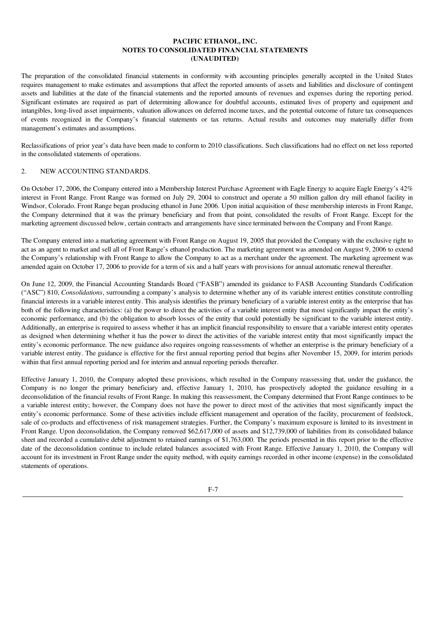The preparation of the consolidated financial statements in conformity with accounting principles generally accepted in the United States requires management to make estimates and assumptions that affect the reported amounts of assets and liabilities and disclosure of contingent assets and liabilities at the date of the financial statements and the reported amounts of revenues and expenses during the reporting period. Significant estimates are required as part of determining allowance for doubtful accounts, estimated lives of property and equipment and intangibles, long-lived asset impairments, valuation allowances on deferred income taxes, and the potential outcome of future tax consequences of events recognized in the Company's financial statements or tax returns. Actual results and outcomes may materially differ from management's estimates and assumptions.

Reclassifications of prior year's data have been made to conform to 2010 classifications. Such classifications had no effect on net loss reported in the consolidated statements of operations.

## 2. NEW ACCOUNTING STANDARDS.

On October 17, 2006, the Company entered into a Membership Interest Purchase Agreement with Eagle Energy to acquire Eagle Energy's 42% interest in Front Range. Front Range was formed on July 29, 2004 to construct and operate a 50 million gallon dry mill ethanol facility in Windsor, Colorado. Front Range began producing ethanol in June 2006. Upon initial acquisition of these membership interests in Front Range, the Company determined that it was the primary beneficiary and from that point, consolidated the results of Front Range. Except for the marketing agreement discussed below, certain contracts and arrangements have since terminated between the Company and Front Range.

The Company entered into a marketing agreement with Front Range on August 19, 2005 that provided the Company with the exclusive right to act as an agent to market and sell all of Front Range's ethanol production. The marketing agreement was amended on August 9, 2006 to extend the Company's relationship with Front Range to allow the Company to act as a merchant under the agreement. The marketing agreement was amended again on October 17, 2006 to provide for a term of six and a half years with provisions for annual automatic renewal thereafter.

On June 12, 2009, the Financial Accounting Standards Board ("FASB") amended its guidance to FASB Accounting Standards Codification ("ASC") 810, *Consolidations*, surrounding a company's analysis to determine whether any of its variable interest entities constitute controlling financial interests in a variable interest entity. This analysis identifies the primary beneficiary of a variable interest entity as the enterprise that has both of the following characteristics: (a) the power to direct the activities of a variable interest entity that most significantly impact the entity's economic performance, and (b) the obligation to absorb losses of the entity that could potentially be significant to the variable interest entity. Additionally, an enterprise is required to assess whether it has an implicit financial responsibility to ensure that a variable interest entity operates as designed when determining whether it has the power to direct the activities of the variable interest entity that most significantly impact the entity's economic performance. The new guidance also requires ongoing reassessments of whether an enterprise is the primary beneficiary of a variable interest entity. The guidance is effective for the first annual reporting period that begins after November 15, 2009, for interim periods within that first annual reporting period and for interim and annual reporting periods thereafter.

Effective January 1, 2010, the Company adopted these provisions, which resulted in the Company reassessing that, under the guidance, the Company is no longer the primary beneficiary and, effective January 1, 2010, has prospectively adopted the guidance resulting in a deconsolidation of the financial results of Front Range. In making this reassessment, the Company determined that Front Range continues to be a variable interest entity; however, the Company does not have the power to direct most of the activities that most significantly impact the entity's economic performance. Some of these activities include efficient management and operation of the facility, procurement of feedstock, sale of co-products and effectiveness of risk management strategies. Further, the Company's maximum exposure is limited to its investment in Front Range. Upon deconsolidation, the Company removed \$62,617,000 of assets and \$12,739,000 of liabilities from its consolidated balance sheet and recorded a cumulative debit adjustment to retained earnings of \$1,763,000. The periods presented in this report prior to the effective date of the deconsolidation continue to include related balances associated with Front Range. Effective January 1, 2010, the Company will account for its investment in Front Range under the equity method, with equity earnings recorded in other income (expense) in the consolidated statements of operations.

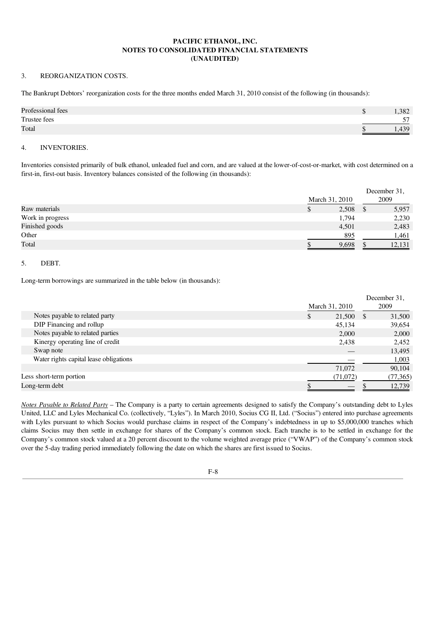### 3. REORGANIZATION COSTS.

The Bankrupt Debtors' reorganization costs for the three months ended March 31, 2010 consist of the following (in thousands):

| Professional fees | .382 |
|-------------------|------|
| Trustee fees      | 57   |
| Total             | 420  |

#### 4. INVENTORIES.

Inventories consisted primarily of bulk ethanol, unleaded fuel and corn, and are valued at the lower-of-cost-or-market, with cost determined on a first-in, first-out basis. Inventory balances consisted of the following (in thousands):

|                  |                | December 31,           |
|------------------|----------------|------------------------|
|                  | March 31, 2010 | 2009                   |
| Raw materials    | 2,508          | 5,957<br><sup>\$</sup> |
| Work in progress | 1,794          | 2,230                  |
| Finished goods   | 4,501          | 2,483                  |
| Other            | 895            | 1,461                  |
| Total            | 9,698          | 12,131                 |

### 5. DEBT.

Long-term borrowings are summarized in the table below (in thousands):

|                                        |     |                |    | December 31, |
|----------------------------------------|-----|----------------|----|--------------|
|                                        |     | March 31, 2010 |    | 2009         |
| Notes payable to related party         | \$. | 21,500         | -S | 31,500       |
| DIP Financing and rollup               |     | 45,134         |    | 39,654       |
| Notes payable to related parties       |     | 2,000          |    | 2,000        |
| Kinergy operating line of credit       |     | 2,438          |    | 2,452        |
| Swap note                              |     |                |    | 13,495       |
| Water rights capital lease obligations |     |                |    | 1,003        |
|                                        |     | 71,072         |    | 90,104       |
| Less short-term portion                |     | (71,072)       |    | (77,365)     |
| Long-term debt                         |     |                |    | 12,739       |

*Notes Payable to Related Party* – The Company is a party to certain agreements designed to satisfy the Company's outstanding debt to Lyles United, LLC and Lyles Mechanical Co. (collectively, "Lyles"). In March 2010, Socius CG II, Ltd. ("Socius") entered into purchase agreements with Lyles pursuant to which Socius would purchase claims in respect of the Company's indebtedness in up to \$5,000,000 tranches which claims Socius may then settle in exchange for shares of the Company's common stock. Each tranche is to be settled in exchange for the Company's common stock valued at a 20 percent discount to the volume weighted average price ("VWAP") of the Company's common stock over the 5-day trading period immediately following the date on which the shares are first issued to Socius.

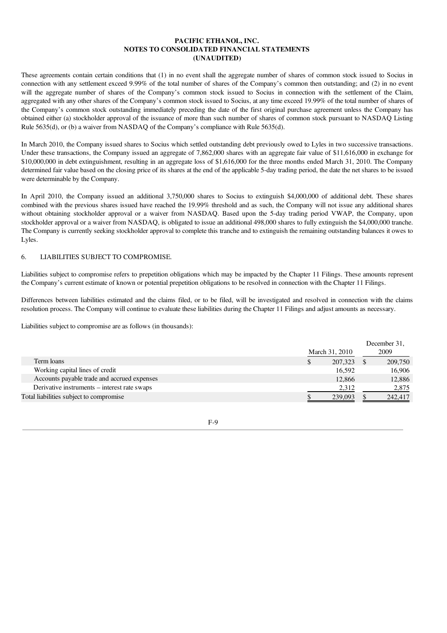These agreements contain certain conditions that (1) in no event shall the aggregate number of shares of common stock issued to Socius in connection with any settlement exceed 9.99% of the total number of shares of the Company's common then outstanding; and (2) in no event will the aggregate number of shares of the Company's common stock issued to Socius in connection with the settlement of the Claim, aggregated with any other shares of the Company's common stock issued to Socius, at any time exceed 19.99% of the total number of shares of the Company's common stock outstanding immediately preceding the date of the first original purchase agreement unless the Company has obtained either (a) stockholder approval of the issuance of more than such number of shares of common stock pursuant to NASDAQ Listing Rule 5635(d), or (b) a waiver from NASDAQ of the Company's compliance with Rule 5635(d).

In March 2010, the Company issued shares to Socius which settled outstanding debt previously owed to Lyles in two successive transactions. Under these transactions, the Company issued an aggregate of 7,862,000 shares with an aggregate fair value of \$11,616,000 in exchange for \$10,000,000 in debt extinguishment, resulting in an aggregate loss of \$1,616,000 for the three months ended March 31, 2010. The Company determined fair value based on the closing price of its shares at the end of the applicable 5-day trading period, the date the net shares to be issued were determinable by the Company.

In April 2010, the Company issued an additional 3,750,000 shares to Socius to extinguish \$4,000,000 of additional debt. These shares combined with the previous shares issued have reached the 19.99% threshold and as such, the Company will not issue any additional shares without obtaining stockholder approval or a waiver from NASDAO. Based upon the 5-day trading period VWAP, the Company, upon stockholder approval or a waiver from NASDAQ, is obligated to issue an additional 498,000 shares to fully extinguish the \$4,000,000 tranche. The Company is currently seeking stockholder approval to complete this tranche and to extinguish the remaining outstanding balances it owes to Lyles.

## 6. LIABILITIES SUBJECT TO COMPROMISE.

Liabilities subject to compromise refers to prepetition obligations which may be impacted by the Chapter 11 Filings. These amounts represent the Company's current estimate of known or potential prepetition obligations to be resolved in connection with the Chapter 11 Filings.

Differences between liabilities estimated and the claims filed, or to be filed, will be investigated and resolved in connection with the claims resolution process. The Company will continue to evaluate these liabilities during the Chapter 11 Filings and adjust amounts as necessary.

Liabilities subject to compromise are as follows (in thousands):

|                                              | March 31, 2010 | December 31,<br>2009 |
|----------------------------------------------|----------------|----------------------|
| Term loans                                   | 207,323        | 209,750              |
| Working capital lines of credit              | 16.592         | 16,906               |
| Accounts payable trade and accrued expenses  | 12,866         | 12,886               |
| Derivative instruments – interest rate swaps | 2,312          | 2,875                |
| Total liabilities subject to compromise      | 239,093        | 242,417              |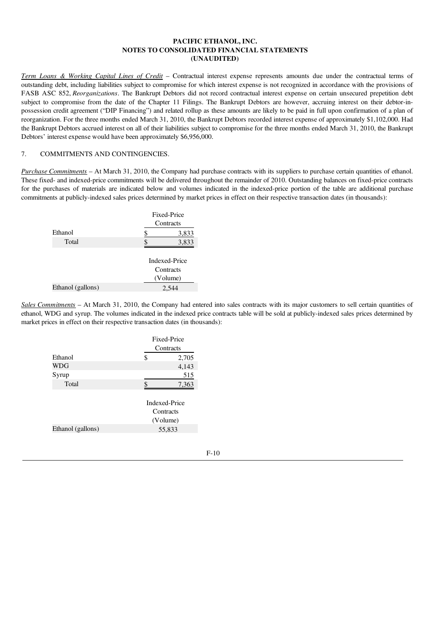*Term Loans & Working Capital Lines of Credit* – Contractual interest expense represents amounts due under the contractual terms of outstanding debt, including liabilities subject to compromise for which interest expense is not recognized in accordance with the provisions of FASB ASC 852, *Reorganizations*. The Bankrupt Debtors did not record contractual interest expense on certain unsecured prepetition debt subject to compromise from the date of the Chapter 11 Filings. The Bankrupt Debtors are however, accruing interest on their debtor-inpossession credit agreement ("DIP Financing") and related rollup as these amounts are likely to be paid in full upon confirmation of a plan of reorganization. For the three months ended March 31, 2010, the Bankrupt Debtors recorded interest expense of approximately \$1,102,000. Had the Bankrupt Debtors accrued interest on all of their liabilities subject to compromise for the three months ended March 31, 2010, the Bankrupt Debtors' interest expense would have been approximately \$6,956,000.

### 7. COMMITMENTS AND CONTINGENCIES.

*Purchase Commitments* – At March 31, 2010, the Company had purchase contracts with its suppliers to purchase certain quantities of ethanol. These fixed- and indexed-price commitments will be delivered throughout the remainder of 2010. Outstanding balances on fixed-price contracts for the purchases of materials are indicated below and volumes indicated in the indexed-price portion of the table are additional purchase commitments at publicly-indexed sales prices determined by market prices in effect on their respective transaction dates (in thousands):

|   | Fixed-Price<br>Contracts               |
|---|----------------------------------------|
| S | 3,833                                  |
|   | 3,833                                  |
|   | Indexed-Price<br>Contracts<br>(Volume) |
|   | 2.544                                  |
|   |                                        |

*Sales Commitments* – At March 31, 2010, the Company had entered into sales contracts with its major customers to sell certain quantities of ethanol, WDG and syrup. The volumes indicated in the indexed price contracts table will be sold at publicly-indexed sales prices determined by market prices in effect on their respective transaction dates (in thousands):

|                   | Fixed-Price                |
|-------------------|----------------------------|
|                   | Contracts                  |
| Ethanol           | \$<br>2,705                |
| <b>WDG</b>        | 4,143                      |
| Syrup             | 515                        |
| Total             | \$<br>7,363                |
|                   | Indexed-Price<br>Contracts |
|                   | (Volume)                   |
| Ethanol (gallons) | 55,833                     |
|                   |                            |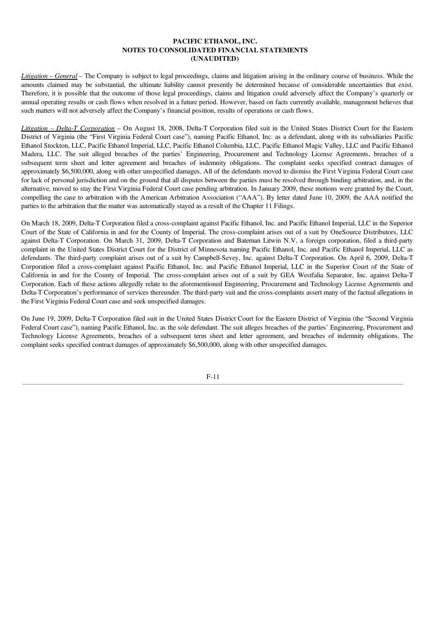*Litigation* – *General* – The Company is subject to legal proceedings, claims and litigation arising in the ordinary course of business. While the amounts claimed may be substantial, the ultimate liability cannot presently be determined because of considerable uncertainties that exist. Therefore, it is possible that the outcome of those legal proceedings, claims and litigation could adversely affect the Company's quarterly or annual operating results or cash flows when resolved in a future period. However, based on facts currently available, management believes that such matters will not adversely affect the Company's financial position, results of operations or cash flows.

*Litigation – Delta-T Corporation* – On August 18, 2008, Delta-T Corporation filed suit in the United States District Court for the Eastern District of Virginia (the "First Virginia Federal Court case"), naming Pacific Ethanol, Inc. as a defendant, along with its subsidiaries Pacific Ethanol Stockton, LLC, Pacific Ethanol Imperial, LLC, Pacific Ethanol Columbia, LLC, Pacific Ethanol Magic Valley, LLC and Pacific Ethanol Madera, LLC. The suit alleged breaches of the parties' Engineering, Procurement and Technology License Agreements, breaches of a subsequent term sheet and letter agreement and breaches of indemnity obligations. The complaint seeks specified contract damages of approximately \$6,500,000, along with other unspecified damages. All of the defendants moved to dismiss the First Virginia Federal Court case for lack of personal jurisdiction and on the ground that all disputes between the parties must be resolved through binding arbitration, and, in the alternative, moved to stay the First Virginia Federal Court case pending arbitration. In January 2009, these motions were granted by the Court, compelling the case to arbitration with the American Arbitration Association ("AAA"). By letter dated June 10, 2009, the AAA notified the parties to the arbitration that the matter was automatically stayed as a result of the Chapter 11 Filings.

On March 18, 2009, Delta-T Corporation filed a cross-complaint against Pacific Ethanol, Inc. and Pacific Ethanol Imperial, LLC in the Superior Court of the State of California in and for the County of Imperial. The cross-complaint arises out of a suit by OneSource Distributors, LLC against Delta-T Corporation. On March 31, 2009, Delta-T Corporation and Bateman Litwin N.V, a foreign corporation, filed a third-party complaint in the United States District Court for the District of Minnesota naming Pacific Ethanol, Inc. and Pacific Ethanol Imperial, LLC as defendants. The third-party complaint arises out of a suit by Campbell-Sevey, Inc. against Delta-T Corporation. On April 6, 2009, Delta-T Corporation filed a cross-complaint against Pacific Ethanol, Inc. and Pacific Ethanol Imperial, LLC in the Superior Court of the State of California in and for the County of Imperial. The cross-complaint arises out of a suit by GEA Westfalia Separator, Inc. against Delta-T Corporation. Each of these actions allegedly relate to the aforementioned Engineering, Procurement and Technology License Agreements and Delta-T Corporation's performance of services thereunder. The third-party suit and the cross-complaints assert many of the factual allegations in the First Virginia Federal Court case and seek unspecified damages.

On June 19, 2009, Delta-T Corporation filed suit in the United States District Court for the Eastern District of Virginia (the "Second Virginia Federal Court case"), naming Pacific Ethanol, Inc. as the sole defendant. The suit alleges breaches of the parties' Engineering, Procurement and Technology License Agreements, breaches of a subsequent term sheet and letter agreement, and breaches of indemnity obligations. The complaint seeks specified contract damages of approximately \$6,500,000, along with other unspecified damages.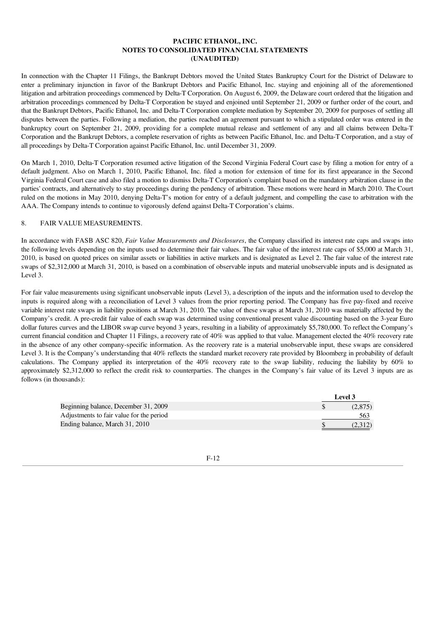In connection with the Chapter 11 Filings, the Bankrupt Debtors moved the United States Bankruptcy Court for the District of Delaware to enter a preliminary injunction in favor of the Bankrupt Debtors and Pacific Ethanol, Inc. staying and enjoining all of the aforementioned litigation and arbitration proceedings commenced by Delta-T Corporation. On August 6, 2009, the Delaware court ordered that the litigation and arbitration proceedings commenced by Delta-T Corporation be stayed and enjoined until September 21, 2009 or further order of the court, and that the Bankrupt Debtors, Pacific Ethanol, Inc. and Delta-T Corporation complete mediation by September 20, 2009 for purposes of settling all disputes between the parties. Following a mediation, the parties reached an agreement pursuant to which a stipulated order was entered in the bankruptcy court on September 21, 2009, providing for a complete mutual release and settlement of any and all claims between Delta-T Corporation and the Bankrupt Debtors, a complete reservation of rights as between Pacific Ethanol, Inc. and Delta-T Corporation, and a stay of all proceedings by Delta-T Corporation against Pacific Ethanol, Inc. until December 31, 2009.

On March 1, 2010, Delta-T Corporation resumed active litigation of the Second Virginia Federal Court case by filing a motion for entry of a default judgment. Also on March 1, 2010, Pacific Ethanol, Inc. filed a motion for extension of time for its first appearance in the Second Virginia Federal Court case and also filed a motion to dismiss Delta-T Corporation's complaint based on the mandatory arbitration clause in the parties' contracts, and alternatively to stay proceedings during the pendency of arbitration. These motions were heard in March 2010. The Court ruled on the motions in May 2010, denying Delta-T's motion for entry of a default judgment, and compelling the case to arbitration with the AAA. The Company intends to continue to vigorously defend against Delta-T Corporation's claims.

### 8. FAIR VALUE MEASUREMENTS.

In accordance with FASB ASC 820, *Fair Value Measurements and Disclosures*, the Company classified its interest rate caps and swaps into the following levels depending on the inputs used to determine their fair values. The fair value of the interest rate caps of \$5,000 at March 31, 2010, is based on quoted prices on similar assets or liabilities in active markets and is designated as Level 2. The fair value of the interest rate swaps of \$2,312,000 at March 31, 2010, is based on a combination of observable inputs and material unobservable inputs and is designated as Level 3.

For fair value measurements using significant unobservable inputs (Level 3), a description of the inputs and the information used to develop the inputs is required along with a reconciliation of Level 3 values from the prior reporting period. The Company has five pay-fixed and receive variable interest rate swaps in liability positions at March 31, 2010. The value of these swaps at March 31, 2010 was materially affected by the Company's credit. A pre-credit fair value of each swap was determined using conventional present value discounting based on the 3-year Euro dollar futures curves and the LIBOR swap curve beyond 3 years, resulting in a liability of approximately \$5,780,000. To reflect the Company's current financial condition and Chapter 11 Filings, a recovery rate of 40% was applied to that value. Management elected the 40% recovery rate in the absence of any other company-specific information. As the recovery rate is a material unobservable input, these swaps are considered Level 3. It is the Company's understanding that 40% reflects the standard market recovery rate provided by Bloomberg in probability of default calculations. The Company applied its interpretation of the 40% recovery rate to the swap liability, reducing the liability by 60% to approximately \$2,312,000 to reflect the credit risk to counterparties. The changes in the Company's fair value of its Level 3 inputs are as follows (in thousands):

|                                          | Level 3 |
|------------------------------------------|---------|
| Beginning balance, December 31, 2009     | (2,875) |
| Adjustments to fair value for the period | 563     |
| Ending balance, March 31, 2010           | (2.312) |

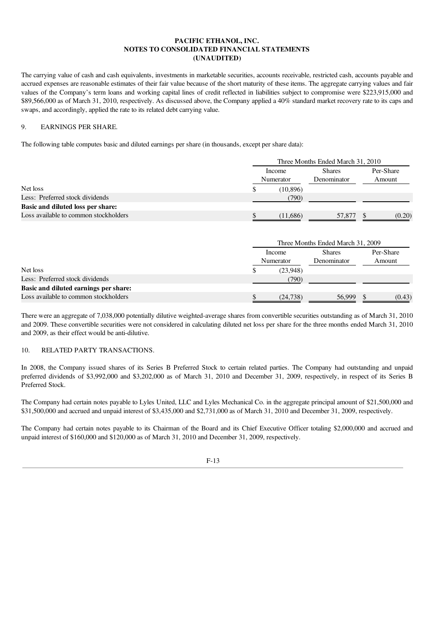The carrying value of cash and cash equivalents, investments in marketable securities, accounts receivable, restricted cash, accounts payable and accrued expenses are reasonable estimates of their fair value because of the short maturity of these items. The aggregate carrying values and fair values of the Company's term loans and working capital lines of credit reflected in liabilities subject to compromise were \$223,915,000 and \$89,566,000 as of March 31, 2010, respectively. As discussed above, the Company applied a 40% standard market recovery rate to its caps and swaps, and accordingly, applied the rate to its related debt carrying value.

## 9. EARNINGS PER SHARE.

The following table computes basic and diluted earnings per share (in thousands, except per share data):

|                                       |   | Three Months Ended March 31, 2010 |                                   |           |  |  |  |
|---------------------------------------|---|-----------------------------------|-----------------------------------|-----------|--|--|--|
|                                       |   | Income                            | <b>Shares</b>                     | Per-Share |  |  |  |
|                                       |   | Numerator                         | Denominator                       | Amount    |  |  |  |
| Net loss                              | S | (10, 896)                         |                                   |           |  |  |  |
| Less: Preferred stock dividends       |   | (790)                             |                                   |           |  |  |  |
| Basic and diluted loss per share:     |   |                                   |                                   |           |  |  |  |
| Loss available to common stockholders |   | (11,686)                          | 57,877                            | (0.20)    |  |  |  |
|                                       |   |                                   |                                   |           |  |  |  |
|                                       |   |                                   | Three Months Ended March 31, 2009 |           |  |  |  |
|                                       |   | Income                            | <b>Shares</b>                     | Per-Share |  |  |  |
|                                       |   | Numerator                         | Denominator                       | Amount    |  |  |  |

|                                       |          | .      | . |        |
|---------------------------------------|----------|--------|---|--------|
| Net loss                              | (23.948) |        |   |        |
| Less: Preferred stock dividends       | (790)    |        |   |        |
| Basic and diluted earnings per share: |          |        |   |        |
| Loss available to common stockholders | (24,738) | 56.999 |   | (0.43) |

There were an aggregate of 7,038,000 potentially dilutive weighted-average shares from convertible securities outstanding as of March 31, 2010 and 2009. These convertible securities were not considered in calculating diluted net loss per share for the three months ended March 31, 2010 and 2009, as their effect would be anti-dilutive.

## 10. RELATED PARTY TRANSACTIONS.

In 2008, the Company issued shares of its Series B Preferred Stock to certain related parties. The Company had outstanding and unpaid preferred dividends of \$3,992,000 and \$3,202,000 as of March 31, 2010 and December 31, 2009, respectively, in respect of its Series B Preferred Stock.

The Company had certain notes payable to Lyles United, LLC and Lyles Mechanical Co. in the aggregate principal amount of \$21,500,000 and \$31,500,000 and accrued and unpaid interest of \$3,435,000 and \$2,731,000 as of March 31, 2010 and December 31, 2009, respectively.

The Company had certain notes payable to its Chairman of the Board and its Chief Executive Officer totaling \$2,000,000 and accrued and unpaid interest of \$160,000 and \$120,000 as of March 31, 2010 and December 31, 2009, respectively.

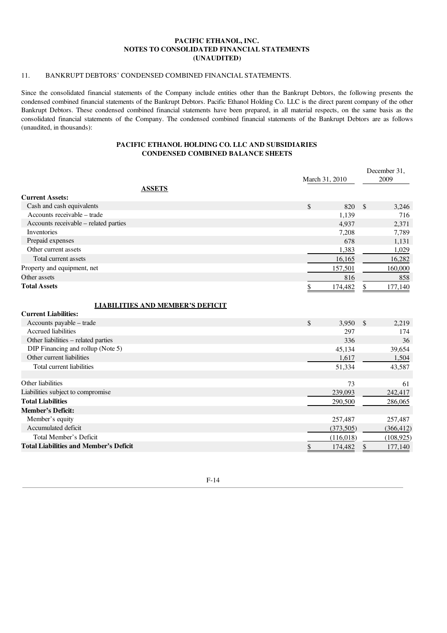## 11. BANKRUPT DEBTORS' CONDENSED COMBINED FINANCIAL STATEMENTS.

Since the consolidated financial statements of the Company include entities other than the Bankrupt Debtors, the following presents the condensed combined financial statements of the Bankrupt Debtors. Pacific Ethanol Holding Co. LLC is the direct parent company of the other Bankrupt Debtors. These condensed combined financial statements have been prepared, in all material respects, on the same basis as the consolidated financial statements of the Company. The condensed combined financial statements of the Bankrupt Debtors are as follows (unaudited, in thousands):

## PACIFIC ETHANOL HOLDING CO. LLC AND SUBSIDIARIES CONDENSED COMBINED BALANCE SHEETS

|                                                                        | March 31, 2010 |           | December 31,<br>2009 |            |
|------------------------------------------------------------------------|----------------|-----------|----------------------|------------|
|                                                                        |                |           |                      |            |
| <b>ASSETS</b><br><b>Current Assets:</b>                                |                |           |                      |            |
| Cash and cash equivalents                                              | \$             | 820       | $\mathbb{S}$         | 3,246      |
| Accounts receivable – trade                                            |                | 1,139     |                      | 716        |
| Accounts receivable - related parties                                  |                | 4,937     |                      | 2,371      |
| Inventories                                                            |                | 7,208     |                      | 7,789      |
| Prepaid expenses                                                       |                | 678       |                      | 1,131      |
| Other current assets                                                   |                | 1,383     |                      | 1,029      |
| Total current assets                                                   |                | 16,165    |                      | 16,282     |
| Property and equipment, net                                            |                | 157,501   |                      | 160,000    |
| Other assets                                                           |                | 816       |                      | 858        |
| <b>Total Assets</b>                                                    |                | 174,482   | \$                   | 177,140    |
| <b>LIABILITIES AND MEMBER'S DEFICIT</b><br><b>Current Liabilities:</b> |                |           |                      |            |
| Accounts payable – trade                                               | \$             | 3,950     | $\mathcal{S}$        | 2,219      |
| Accrued liabilities                                                    |                | 297       |                      | 174        |
| Other liabilities - related parties                                    |                | 336       |                      | 36         |
| DIP Financing and rollup (Note 5)                                      |                | 45,134    |                      | 39,654     |
| Other current liabilities                                              |                | 1,617     |                      | 1,504      |
| Total current liabilities                                              |                | 51,334    |                      | 43,587     |
| Other liabilities                                                      |                | 73        |                      | 61         |
| Liabilities subject to compromise                                      |                | 239,093   |                      | 242,417    |
| <b>Total Liabilities</b>                                               |                | 290,500   |                      | 286,065    |
| <b>Member's Deficit:</b>                                               |                |           |                      |            |
| Member's equity                                                        |                | 257,487   |                      | 257,487    |
| Accumulated deficit                                                    |                | (373,505) |                      | (366, 412) |
| Total Member's Deficit                                                 |                | (116,018) |                      | (108, 925) |
| <b>Total Liabilities and Member's Deficit</b>                          | <u>\$</u>      | 174,482   | \$                   | 177,140    |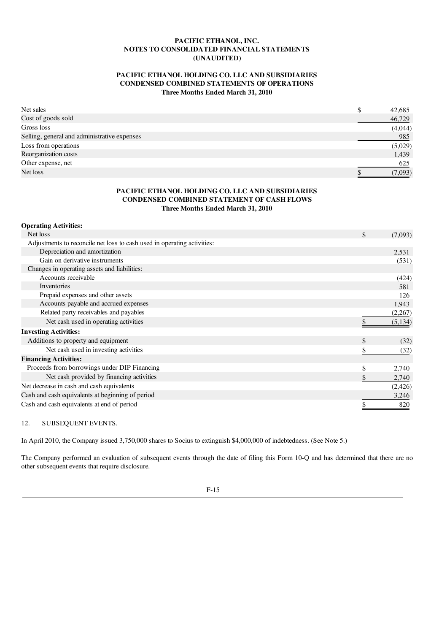## PACIFIC ETHANOL HOLDING CO. LLC AND SUBSIDIARIES CONDENSED COMBINED STATEMENTS OF OPERATIONS Three Months Ended March 31, 2010

| Net sales                                    | S | 42,685  |
|----------------------------------------------|---|---------|
| Cost of goods sold                           |   | 46,729  |
| Gross loss                                   |   | (4,044) |
| Selling, general and administrative expenses |   | 985     |
| Loss from operations                         |   | (5,029) |
| Reorganization costs                         |   | 1,439   |
| Other expense, net                           |   | 625     |
| Net loss                                     |   | (7,093) |

## PACIFIC ETHANOL HOLDING CO. LLC AND SUBSIDIARIES CONDENSED COMBINED STATEMENT OF CASH FLOWS Three Months Ended March 31, 2010

| <b>Operating Activities:</b>                                            |               |
|-------------------------------------------------------------------------|---------------|
| Net loss                                                                | \$<br>(7,093) |
| Adjustments to reconcile net loss to cash used in operating activities: |               |
| Depreciation and amortization                                           | 2,531         |
| Gain on derivative instruments                                          | (531)         |
| Changes in operating assets and liabilities:                            |               |
| Accounts receivable                                                     | (424)         |
| Inventories                                                             | 581           |
| Prepaid expenses and other assets                                       | 126           |
| Accounts payable and accrued expenses                                   | 1,943         |
| Related party receivables and payables                                  | (2,267)       |
| Net cash used in operating activities                                   | (5, 134)      |
| <b>Investing Activities:</b>                                            |               |
| Additions to property and equipment                                     | (32)          |
| Net cash used in investing activities                                   | (32)          |
| <b>Financing Activities:</b>                                            |               |
| Proceeds from borrowings under DIP Financing                            | \$<br>2,740   |
| Net cash provided by financing activities                               | 2,740         |
| Net decrease in cash and cash equivalents                               | (2, 426)      |
| Cash and cash equivalents at beginning of period                        | 3,246         |
| Cash and cash equivalents at end of period                              | 820           |

12. SUBSEQUENT EVENTS.

In April 2010, the Company issued 3,750,000 shares to Socius to extinguish \$4,000,000 of indebtedness. (See Note 5.)

The Company performed an evaluation of subsequent events through the date of filing this Form 10-Q and has determined that there are no other subsequent events that require disclosure.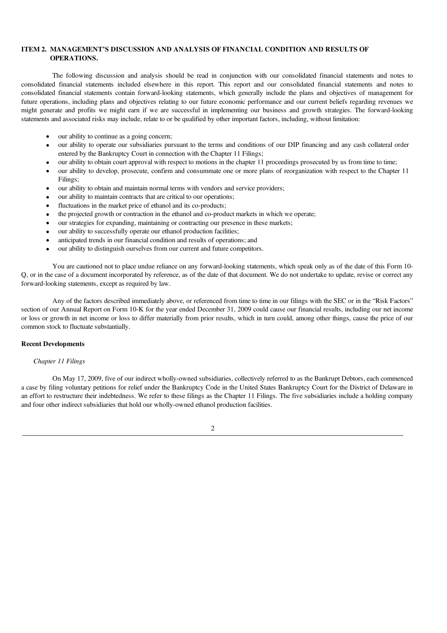## ITEM 2. MANAGEMENT'S DISCUSSION AND ANALYSIS OF FINANCIAL CONDITION AND RESULTS OF OPERATIONS.

The following discussion and analysis should be read in conjunction with our consolidated financial statements and notes to consolidated financial statements included elsewhere in this report. This report and our consolidated financial statements and notes to consolidated financial statements contain forward-looking statements, which generally include the plans and objectives of management for future operations, including plans and objectives relating to our future economic performance and our current beliefs regarding revenues we might generate and profits we might earn if we are successful in implementing our business and growth strategies. The forward-looking statements and associated risks may include, relate to or be qualified by other important factors, including, without limitation:

- our ability to continue as a going concern;
- our ability to operate our subsidiaries pursuant to the terms and conditions of our DIP financing and any cash collateral order entered by the Bankruptcy Court in connection with the Chapter 11 Filings:
- · our ability to obtain court approval with respect to motions in the chapter 11 proceedings prosecuted by us from time to time;
- · our ability to develop, prosecute, confirm and consummate one or more plans of reorganization with respect to the Chapter 11 Filings;
- our ability to obtain and maintain normal terms with vendors and service providers;
- our ability to maintain contracts that are critical to our operations:
- fluctuations in the market price of ethanol and its co-products;
- · the projected growth or contraction in the ethanol and co-product markets in which we operate;
- our strategies for expanding, maintaining or contracting our presence in these markets;
- our ability to successfully operate our ethanol production facilities;
- anticipated trends in our financial condition and results of operations; and
- our ability to distinguish ourselves from our current and future competitors.

You are cautioned not to place undue reliance on any forward-looking statements, which speak only as of the date of this Form 10- Q, or in the case of a document incorporated by reference, as of the date of that document. We do not undertake to update, revise or correct any forward-looking statements, except as required by law.

Any of the factors described immediately above, or referenced from time to time in our filings with the SEC or in the "Risk Factors" section of our Annual Report on Form 10-K for the year ended December 31, 2009 could cause our financial results, including our net income or loss or growth in net income or loss to differ materially from prior results, which in turn could, among other things, cause the price of our common stock to fluctuate substantially.

## Recent Developments

## *Chapter 11 Filings*

On May 17, 2009, five of our indirect wholly-owned subsidiaries, collectively referred to as the Bankrupt Debtors, each commenced a case by filing voluntary petitions for relief under the Bankruptcy Code in the United States Bankruptcy Court for the District of Delaware in an effort to restructure their indebtedness. We refer to these filings as the Chapter 11 Filings. The five subsidiaries include a holding company and four other indirect subsidiaries that hold our wholly-owned ethanol production facilities.

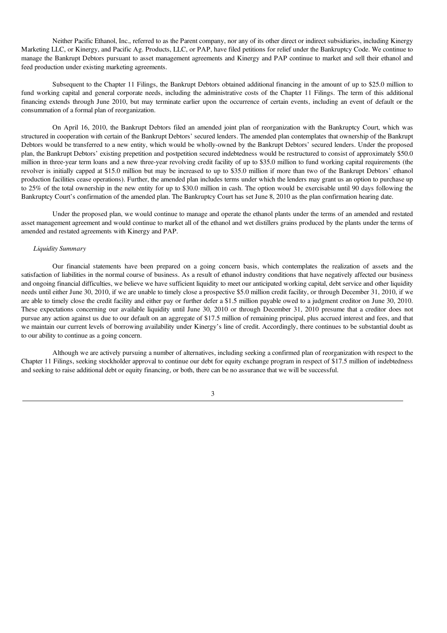Neither Pacific Ethanol, Inc., referred to as the Parent company, nor any of its other direct or indirect subsidiaries, including Kinergy Marketing LLC, or Kinergy, and Pacific Ag. Products, LLC, or PAP, have filed petitions for relief under the Bankruptcy Code. We continue to manage the Bankrupt Debtors pursuant to asset management agreements and Kinergy and PAP continue to market and sell their ethanol and feed production under existing marketing agreements.

Subsequent to the Chapter 11 Filings, the Bankrupt Debtors obtained additional financing in the amount of up to \$25.0 million to fund working capital and general corporate needs, including the administrative costs of the Chapter 11 Filings. The term of this additional financing extends through June 2010, but may terminate earlier upon the occurrence of certain events, including an event of default or the consummation of a formal plan of reorganization.

On April 16, 2010, the Bankrupt Debtors filed an amended joint plan of reorganization with the Bankruptcy Court, which was structured in cooperation with certain of the Bankrupt Debtors' secured lenders. The amended plan contemplates that ownership of the Bankrupt Debtors would be transferred to a new entity, which would be wholly-owned by the Bankrupt Debtors' secured lenders. Under the proposed plan, the Bankrupt Debtors' existing prepetition and postpetition secured indebtedness would be restructured to consist of approximately \$50.0 million in three-year term loans and a new three-year revolving credit facility of up to \$35.0 million to fund working capital requirements (the revolver is initially capped at \$15.0 million but may be increased to up to \$35.0 million if more than two of the Bankrupt Debtors' ethanol production facilities cease operations). Further, the amended plan includes terms under which the lenders may grant us an option to purchase up to 25% of the total ownership in the new entity for up to \$30.0 million in cash. The option would be exercisable until 90 days following the Bankruptcy Court's confirmation of the amended plan. The Bankruptcy Court has set June 8, 2010 as the plan confirmation hearing date.

Under the proposed plan, we would continue to manage and operate the ethanol plants under the terms of an amended and restated asset management agreement and would continue to market all of the ethanol and wet distillers grains produced by the plants under the terms of amended and restated agreements with Kinergy and PAP.

#### *Liquidity Summary*

Our financial statements have been prepared on a going concern basis, which contemplates the realization of assets and the satisfaction of liabilities in the normal course of business. As a result of ethanol industry conditions that have negatively affected our business and ongoing financial difficulties, we believe we have sufficient liquidity to meet our anticipated working capital, debt service and other liquidity needs until either June 30, 2010, if we are unable to timely close a prospective \$5.0 million credit facility, or through December 31, 2010, if we are able to timely close the credit facility and either pay or further defer a \$1.5 million payable owed to a judgment creditor on June 30, 2010. These expectations concerning our available liquidity until June 30, 2010 or through December 31, 2010 presume that a creditor does not pursue any action against us due to our default on an aggregate of \$17.5 million of remaining principal, plus accrued interest and fees, and that we maintain our current levels of borrowing availability under Kinergy's line of credit. Accordingly, there continues to be substantial doubt as to our ability to continue as a going concern.

Although we are actively pursuing a number of alternatives, including seeking a confirmed plan of reorganization with respect to the Chapter 11 Filings, seeking stockholder approval to continue our debt for equity exchange program in respect of \$17.5 million of indebtedness and seeking to raise additional debt or equity financing, or both, there can be no assurance that we will be successful.

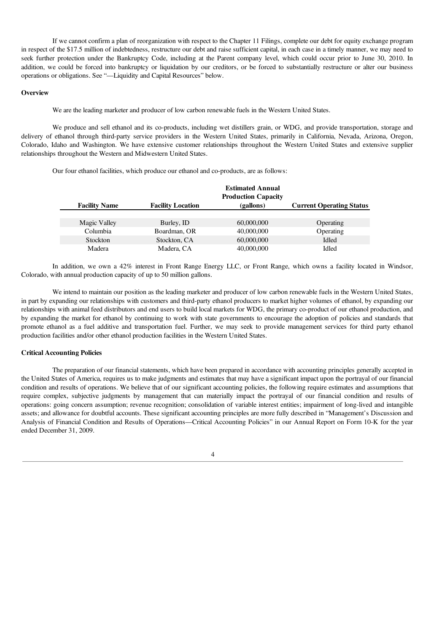If we cannot confirm a plan of reorganization with respect to the Chapter 11 Filings, complete our debt for equity exchange program in respect of the \$17.5 million of indebtedness, restructure our debt and raise sufficient capital, in each case in a timely manner, we may need to seek further protection under the Bankruptcy Code, including at the Parent company level, which could occur prior to June 30, 2010. In addition, we could be forced into bankruptcy or liquidation by our creditors, or be forced to substantially restructure or alter our business operations or obligations. See "—Liquidity and Capital Resources" below.

#### **Overview**

We are the leading marketer and producer of low carbon renewable fuels in the Western United States.

We produce and sell ethanol and its co-products, including wet distillers grain, or WDG, and provide transportation, storage and delivery of ethanol through third-party service providers in the Western United States, primarily in California, Nevada, Arizona, Oregon, Colorado, Idaho and Washington. We have extensive customer relationships throughout the Western United States and extensive supplier relationships throughout the Western and Midwestern United States.

Our four ethanol facilities, which produce our ethanol and co-products, are as follows:

|                      |                          | <b>Estimated Annual</b><br><b>Production Capacity</b> |                                 |
|----------------------|--------------------------|-------------------------------------------------------|---------------------------------|
| <b>Facility Name</b> | <b>Facility Location</b> | (gallons)                                             | <b>Current Operating Status</b> |
|                      |                          |                                                       |                                 |
| Magic Valley         | Burley, ID               | 60,000,000                                            | Operating                       |
| Columbia             | Boardman, OR             | 40,000,000                                            | Operating                       |
| Stockton             | Stockton, CA             | 60,000,000                                            | Idled                           |
| Madera               | Madera, CA               | 40,000,000                                            | Idled                           |

In addition, we own a 42% interest in Front Range Energy LLC, or Front Range, which owns a facility located in Windsor, Colorado, with annual production capacity of up to 50 million gallons.

We intend to maintain our position as the leading marketer and producer of low carbon renewable fuels in the Western United States, in part by expanding our relationships with customers and third-party ethanol producers to market higher volumes of ethanol, by expanding our relationships with animal feed distributors and end users to build local markets for WDG, the primary co-product of our ethanol production, and by expanding the market for ethanol by continuing to work with state governments to encourage the adoption of policies and standards that promote ethanol as a fuel additive and transportation fuel. Further, we may seek to provide management services for third party ethanol production facilities and/or other ethanol production facilities in the Western United States.

### Critical Accounting Policies

The preparation of our financial statements, which have been prepared in accordance with accounting principles generally accepted in the United States of America, requires us to make judgments and estimates that may have a significant impact upon the portrayal of our financial condition and results of operations. We believe that of our significant accounting policies, the following require estimates and assumptions that require complex, subjective judgments by management that can materially impact the portrayal of our financial condition and results of operations: going concern assumption; revenue recognition; consolidation of variable interest entities; impairment of long-lived and intangible assets; and allowance for doubtful accounts. These significant accounting principles are more fully described in "Management's Discussion and Analysis of Financial Condition and Results of Operations—Critical Accounting Policies" in our Annual Report on Form 10-K for the year ended December 31, 2009.

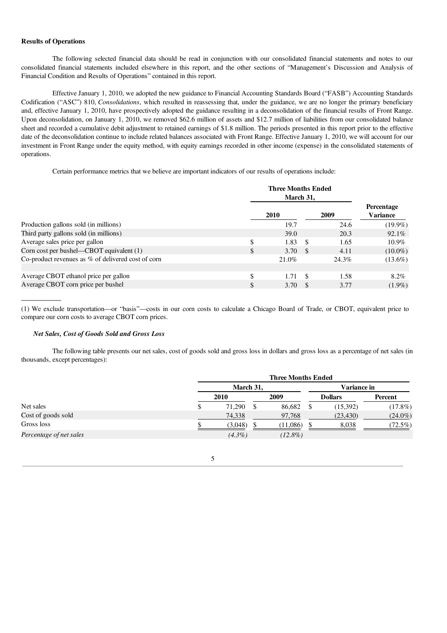### Results of Operations

The following selected financial data should be read in conjunction with our consolidated financial statements and notes to our consolidated financial statements included elsewhere in this report, and the other sections of "Management's Discussion and Analysis of Financial Condition and Results of Operations" contained in this report.

Effective January 1, 2010, we adopted the new guidance to Financial Accounting Standards Board ("FASB") Accounting Standards Codification ("ASC") 810, *Consolidations*, which resulted in reassessing that, under the guidance, we are no longer the primary beneficiary and, effective January 1, 2010, have prospectively adopted the guidance resulting in a deconsolidation of the financial results of Front Range. Upon deconsolidation, on January 1, 2010, we removed \$62.6 million of assets and \$12.7 million of liabilities from our consolidated balance sheet and recorded a cumulative debit adjustment to retained earnings of \$1.8 million. The periods presented in this report prior to the effective date of the deconsolidation continue to include related balances associated with Front Range. Effective January 1, 2010, we will account for our investment in Front Range under the equity method, with equity earnings recorded in other income (expense) in the consolidated statements of operations.

Certain performance metrics that we believe are important indicators of our results of operations include:

|    | 2010  |  | 2009                                                           | <b>Percentage</b><br>Variance          |
|----|-------|--|----------------------------------------------------------------|----------------------------------------|
|    | 19.7  |  | 24.6                                                           | $(19.9\%)$                             |
|    | 39.0  |  | 20.3                                                           | 92.1%                                  |
| \$ |       |  | 1.65                                                           | $10.9\%$                               |
| \$ |       |  | 4.11                                                           | $(10.0\%)$                             |
|    | 21.0% |  | 24.3%                                                          | $(13.6\%)$                             |
| \$ |       |  | 1.58                                                           | 8.2%                                   |
| \$ |       |  | 3.77                                                           | $(1.9\%)$                              |
|    |       |  | 1.83<br>- \$<br>3.70 $\text{\$}$<br>$1.71 \quad$ \$<br>3.70 \$ | <b>Three Months Ended</b><br>March 31, |

(1) We exclude transportation—or "basis"—costs in our corn costs to calculate a Chicago Board of Trade, or CBOT, equivalent price to compare our corn costs to average CBOT corn prices.

## *Net Sales, Cost of Goods Sold and Gross Loss*

The following table presents our net sales, cost of goods sold and gross loss in dollars and gross loss as a percentage of net sales (in thousands, except percentages):

|                         | <b>Three Months Ended</b> |  |            |  |                |            |  |  |
|-------------------------|---------------------------|--|------------|--|----------------|------------|--|--|
|                         | March 31,                 |  |            |  | Variance in    |            |  |  |
|                         | 2010                      |  | 2009       |  | <b>Dollars</b> | Percent    |  |  |
| Net sales               | \$<br>71.290              |  | 86,682     |  | (15, 392)      | (17.8%)    |  |  |
| Cost of goods sold      | 74,338                    |  | 97,768     |  | (23, 430)      | $(24.0\%)$ |  |  |
| Gross loss              | (3,048)                   |  | (11,086)   |  | 8.038          | $(72.5\%)$ |  |  |
| Percentage of net sales | $(4.3\%)$                 |  | $(12.8\%)$ |  |                |            |  |  |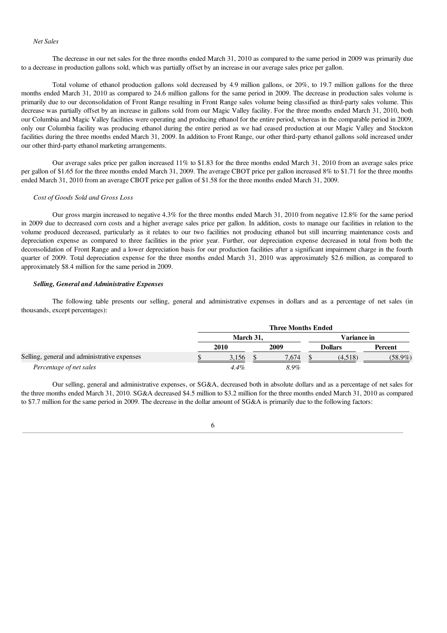#### *Net Sales*

The decrease in our net sales for the three months ended March 31, 2010 as compared to the same period in 2009 was primarily due to a decrease in production gallons sold, which was partially offset by an increase in our average sales price per gallon.

Total volume of ethanol production gallons sold decreased by 4.9 million gallons, or 20%, to 19.7 million gallons for the three months ended March 31, 2010 as compared to 24.6 million gallons for the same period in 2009. The decrease in production sales volume is primarily due to our deconsolidation of Front Range resulting in Front Range sales volume being classified as third-party sales volume. This decrease was partially offset by an increase in gallons sold from our Magic Valley facility. For the three months ended March 31, 2010, both our Columbia and Magic Valley facilities were operating and producing ethanol for the entire period, whereas in the comparable period in 2009, only our Columbia facility was producing ethanol during the entire period as we had ceased production at our Magic Valley and Stockton facilities during the three months ended March 31, 2009. In addition to Front Range, our other third-party ethanol gallons sold increased under our other third-party ethanol marketing arrangements.

Our average sales price per gallon increased 11% to \$1.83 for the three months ended March 31, 2010 from an average sales price per gallon of \$1.65 for the three months ended March 31, 2009. The average CBOT price per gallon increased 8% to \$1.71 for the three months ended March 31, 2010 from an average CBOT price per gallon of \$1.58 for the three months ended March 31, 2009.

#### *Cost of Goods Sold and Gross Loss*

Our gross margin increased to negative 4.3% for the three months ended March 31, 2010 from negative 12.8% for the same period in 2009 due to decreased corn costs and a higher average sales price per gallon. In addition, costs to manage our facilities in relation to the volume produced decreased, particularly as it relates to our two facilities not producing ethanol but still incurring maintenance costs and depreciation expense as compared to three facilities in the prior year. Further, our depreciation expense decreased in total from both the deconsolidation of Front Range and a lower depreciation basis for our production facilities after a significant impairment charge in the fourth quarter of 2009. Total depreciation expense for the three months ended March 31, 2010 was approximately \$2.6 million, as compared to approximately \$8.4 million for the same period in 2009.

### *Selling, General and Administrative Expenses*

The following table presents our selling, general and administrative expenses in dollars and as a percentage of net sales (in thousands, except percentages):

|                                              | <b>Three Months Ended</b> |         |  |       |  |                |            |  |
|----------------------------------------------|---------------------------|---------|--|-------|--|----------------|------------|--|
|                                              | March 31.                 |         |  |       |  | Variance in    |            |  |
|                                              |                           | 2010    |  | 2009  |  | <b>Dollars</b> | Percent    |  |
| Selling, general and administrative expenses |                           | 3.156   |  | 7.674 |  | (4,518)        | $(58.9\%)$ |  |
| Percentage of net sales                      |                           | $4.4\%$ |  | 8.9%  |  |                |            |  |

Our selling, general and administrative expenses, or SG&A, decreased both in absolute dollars and as a percentage of net sales for the three months ended March 31, 2010. SG&A decreased \$4.5 million to \$3.2 million for the three months ended March 31, 2010 as compared to \$7.7 million for the same period in 2009. The decrease in the dollar amount of SG&A is primarily due to the following factors:

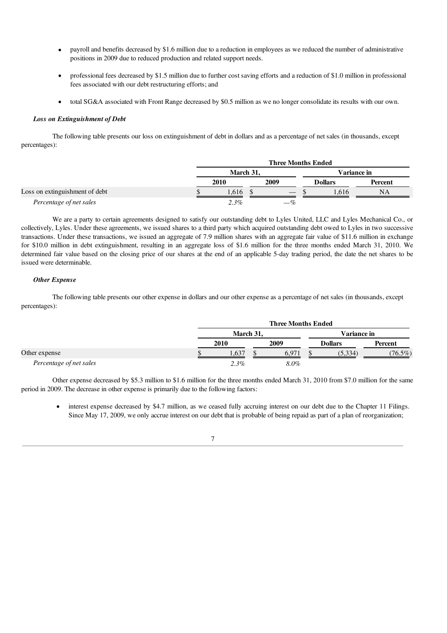- payroll and benefits decreased by \$1.6 million due to a reduction in employees as we reduced the number of administrative positions in 2009 due to reduced production and related support needs.
- · professional fees decreased by \$1.5 million due to further cost saving efforts and a reduction of \$1.0 million in professional fees associated with our debt restructuring efforts; and
- · total SG&A associated with Front Range decreased by \$0.5 million as we no longer consolidate its results with our own.

## *Loss on Extinguishment of Debt*

The following table presents our loss on extinguishment of debt in dollars and as a percentage of net sales (in thousands, except percentages):

|                                | <b>Three Months Ended</b> |  |                                 |  |                |         |  |
|--------------------------------|---------------------------|--|---------------------------------|--|----------------|---------|--|
|                                | March 31.                 |  |                                 |  | Variance in    |         |  |
|                                | 2010                      |  | 2009                            |  | <b>Dollars</b> | Percent |  |
| Loss on extinguishment of debt | .616                      |  | $\hspace{0.1mm}-\hspace{0.1mm}$ |  | 616            | NA      |  |
| Percentage of net sales        | 2.3%                      |  | $-\%$                           |  |                |         |  |

We are a party to certain agreements designed to satisfy our outstanding debt to Lyles United, LLC and Lyles Mechanical Co., or collectively, Lyles. Under these agreements, we issued shares to a third party which acquired outstanding debt owed to Lyles in two successive transactions. Under these transactions, we issued an aggregate of 7.9 million shares with an aggregate fair value of \$11.6 million in exchange for \$10.0 million in debt extinguishment, resulting in an aggregate loss of \$1.6 million for the three months ended March 31, 2010. We determined fair value based on the closing price of our shares at the end of an applicable 5-day trading period, the date the net shares to be issued were determinable.

### *Other Expense*

The following table presents our other expense in dollars and our other expense as a percentage of net sales (in thousands, except percentages):

|                         |           |  | <b>Three Months Ended</b> |                |            |
|-------------------------|-----------|--|---------------------------|----------------|------------|
|                         | March 31, |  |                           | Variance in    |            |
|                         | 2010      |  | 2009                      | <b>Dollars</b> | Percent    |
| Other expense           | .637      |  | 6.971                     | (5,334)        | $(76.5\%)$ |
| Percentage of net sales | $2.3\%$   |  | 8.0%                      |                |            |

Other expense decreased by \$5.3 million to \$1.6 million for the three months ended March 31, 2010 from \$7.0 million for the same period in 2009. The decrease in other expense is primarily due to the following factors:

• interest expense decreased by \$4.7 million, as we ceased fully accruing interest on our debt due to the Chapter 11 Filings. Since May 17, 2009, we only accrue interest on our debt that is probable of being repaid as part of a plan of reorganization;

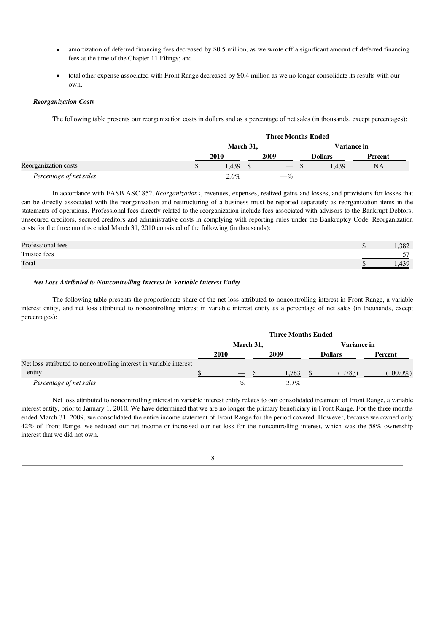- amortization of deferred financing fees decreased by \$0.5 million, as we wrote off a significant amount of deferred financing fees at the time of the Chapter 11 Filings; and
- total other expense associated with Front Range decreased by \$0.4 million as we no longer consolidate its results with our own.

### *Reorganization Costs*

The following table presents our reorganization costs in dollars and as a percentage of net sales (in thousands, except percentages):

|                         | <b>Three Months Ended</b> |  |       |             |                |         |
|-------------------------|---------------------------|--|-------|-------------|----------------|---------|
|                         | March 31.                 |  |       | Variance in |                |         |
|                         | 2010                      |  | 2009  |             | <b>Dollars</b> | Percent |
| Reorganization costs    | 1.439                     |  |       |             | .439           | NΑ      |
| Percentage of net sales | $2.0\%$                   |  | $-\%$ |             |                |         |

In accordance with FASB ASC 852, *Reorganizations*, revenues, expenses, realized gains and losses, and provisions for losses that can be directly associated with the reorganization and restructuring of a business must be reported separately as reorganization items in the statements of operations. Professional fees directly related to the reorganization include fees associated with advisors to the Bankrupt Debtors, unsecured creditors, secured creditors and administrative costs in complying with reporting rules under the Bankruptcy Code. Reorganization costs for the three months ended March 31, 2010 consisted of the following (in thousands):

| Professional fees | .382    |
|-------------------|---------|
| Trustee fees      | --<br>ັ |
| Total             | 430     |

## *Net Loss Attributed to Noncontrolling Interest in Variable Interest Entity*

The following table presents the proportionate share of the net loss attributed to noncontrolling interest in Front Range, a variable interest entity, and net loss attributed to noncontrolling interest in variable interest entity as a percentage of net sales (in thousands, except percentages):

|                                                                     |                          |      |  | <b>Three Months Ended</b> |  |                |             |
|---------------------------------------------------------------------|--------------------------|------|--|---------------------------|--|----------------|-------------|
|                                                                     | March 31,<br>Variance in |      |  |                           |  |                |             |
|                                                                     |                          | 2010 |  | 2009                      |  | <b>Dollars</b> | Percent     |
| Net loss attributed to noncontrolling interest in variable interest |                          |      |  |                           |  |                |             |
| entity                                                              |                          |      |  | 1,783                     |  | (1,783)        | $(100.0\%)$ |
| Percentage of net sales                                             |                          |      |  | 2.1%                      |  |                |             |

Net loss attributed to noncontrolling interest in variable interest entity relates to our consolidated treatment of Front Range, a variable interest entity, prior to January 1, 2010. We have determined that we are no longer the primary beneficiary in Front Range. For the three months ended March 31, 2009, we consolidated the entire income statement of Front Range for the period covered. However, because we owned only 42% of Front Range, we reduced our net income or increased our net loss for the noncontrolling interest, which was the 58% ownership interest that we did not own.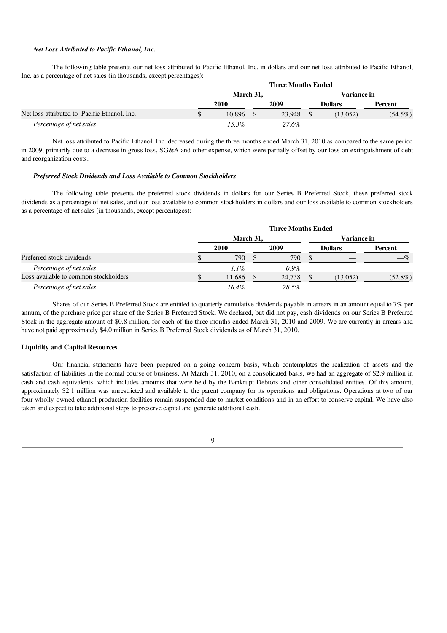### *Net Loss Attributed to Pacific Ethanol, Inc.*

The following table presents our net loss attributed to Pacific Ethanol, Inc. in dollars and our net loss attributed to Pacific Ethanol, Inc. as a percentage of net sales (in thousands, except percentages):

|                                              |           |  | <b>Three Months Ended</b> |             |                |            |
|----------------------------------------------|-----------|--|---------------------------|-------------|----------------|------------|
|                                              | March 31. |  |                           | Variance in |                |            |
|                                              | 2010      |  | 2009                      |             | <b>Dollars</b> | Percent    |
| Net loss attributed to Pacific Ethanol, Inc. | 10.896    |  | 23,948                    |             | (13,052)       | $(54.5\%)$ |
| Percentage of net sales                      | 15.3%     |  | 27.6%                     |             |                |            |

Net loss attributed to Pacific Ethanol, Inc. decreased during the three months ended March 31, 2010 as compared to the same period in 2009, primarily due to a decrease in gross loss, SG&A and other expense, which were partially offset by our loss on extinguishment of debt and reorganization costs.

#### *Preferred Stock Dividends and Loss Available to Common Stockholders*

The following table presents the preferred stock dividends in dollars for our Series B Preferred Stock, these preferred stock dividends as a percentage of net sales, and our loss available to common stockholders in dollars and our loss available to common stockholders as a percentage of net sales (in thousands, except percentages):

|                                       |           |  | <b>Three Months Ended</b> |             |                |                |
|---------------------------------------|-----------|--|---------------------------|-------------|----------------|----------------|
|                                       | March 31. |  |                           | Variance in |                |                |
|                                       | 2010      |  | 2009                      |             | <b>Dollars</b> | <b>Percent</b> |
| Preferred stock dividends             | 790       |  | 790                       |             |                |                |
| Percentage of net sales               | $1.1\%$   |  | $0.9\%$                   |             |                |                |
| Loss available to common stockholders | 1.686     |  | 24,738                    |             | (13, 052)      | $(52.8\%)$     |
| Percentage of net sales               | $16.4\%$  |  | 28.5%                     |             |                |                |

Shares of our Series B Preferred Stock are entitled to quarterly cumulative dividends payable in arrears in an amount equal to 7% per annum, of the purchase price per share of the Series B Preferred Stock. We declared, but did not pay, cash dividends on our Series B Preferred Stock in the aggregate amount of \$0.8 million, for each of the three months ended March 31, 2010 and 2009. We are currently in arrears and have not paid approximately \$4.0 million in Series B Preferred Stock dividends as of March 31, 2010.

### Liquidity and Capital Resources

Our financial statements have been prepared on a going concern basis, which contemplates the realization of assets and the satisfaction of liabilities in the normal course of business. At March 31, 2010, on a consolidated basis, we had an aggregate of \$2.9 million in cash and cash equivalents, which includes amounts that were held by the Bankrupt Debtors and other consolidated entities. Of this amount, approximately \$2.1 million was unrestricted and available to the parent company for its operations and obligations. Operations at two of our four wholly-owned ethanol production facilities remain suspended due to market conditions and in an effort to conserve capital. We have also taken and expect to take additional steps to preserve capital and generate additional cash.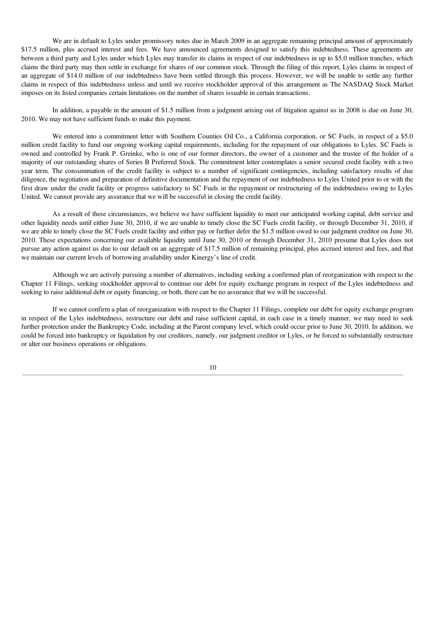We are in default to Lyles under promissory notes due in March 2009 in an aggregate remaining principal amount of approximately \$17.5 million, plus accrued interest and fees. We have announced agreements designed to satisfy this indebtedness. These agreements are between a third party and Lyles under which Lyles may transfer its claims in respect of our indebtedness in up to \$5.0 million tranches, which claims the third party may then settle in exchange for shares of our common stock. Through the filing of this report, Lyles claims in respect of an aggregate of \$14.0 million of our indebtedness have been settled through this process. However, we will be unable to settle any further claims in respect of this indebtedness unless and until we receive stockholder approval of this arrangement as The NASDAQ Stock Market imposes on its listed companies certain limitations on the number of shares issuable in certain transactions.

In addition, a payable in the amount of \$1.5 million from a judgment arising out of litigation against us in 2008 is due on June 30, 2010. We may not have sufficient funds to make this payment.

We entered into a commitment letter with Southern Counties Oil Co., a California corporation, or SC Fuels, in respect of a \$5.0 million credit facility to fund our ongoing working capital requirements, including for the repayment of our obligations to Lyles. SC Fuels is owned and controlled by Frank P. Greinke, who is one of our former directors, the owner of a customer and the trustee of the holder of a majority of our outstanding shares of Series B Preferred Stock. The commitment letter contemplates a senior secured credit facility with a two year term. The consummation of the credit facility is subject to a number of significant contingencies, including satisfactory results of due diligence, the negotiation and preparation of definitive documentation and the repayment of our indebtedness to Lyles United prior to or with the first draw under the credit facility or progress satisfactory to SC Fuels in the repayment or restructuring of the indebtedness owing to Lyles United. We cannot provide any assurance that we will be successful in closing the credit facility.

As a result of these circumstances, we believe we have sufficient liquidity to meet our anticipated working capital, debt service and other liquidity needs until either June 30, 2010, if we are unable to timely close the SC Fuels credit facility, or through December 31, 2010, if we are able to timely close the SC Fuels credit facility and either pay or further defer the \$1.5 million owed to our judgment creditor on June 30, 2010. These expectations concerning our available liquidity until June 30, 2010 or through December 31, 2010 presume that Lyles does not pursue any action against us due to our default on an aggregate of \$17.5 million of remaining principal, plus accrued interest and fees, and that we maintain our current levels of borrowing availability under Kinergy's line of credit.

Although we are actively pursuing a number of alternatives, including seeking a confirmed plan of reorganization with respect to the Chapter 11 Filings, seeking stockholder approval to continue our debt for equity exchange program in respect of the Lyles indebtedness and seeking to raise additional debt or equity financing, or both, there can be no assurance that we will be successful.

If we cannot confirm a plan of reorganization with respect to the Chapter 11 Filings, complete our debt for equity exchange program in respect of the Lyles indebtedness, restructure our debt and raise sufficient capital, in each case in a timely manner, we may need to seek further protection under the Bankruptcy Code, including at the Parent company level, which could occur prior to June 30, 2010. In addition, we could be forced into bankruptcy or liquidation by our creditors, namely, our judgment creditor or Lyles, or be forced to substantially restructure or alter our business operations or obligations.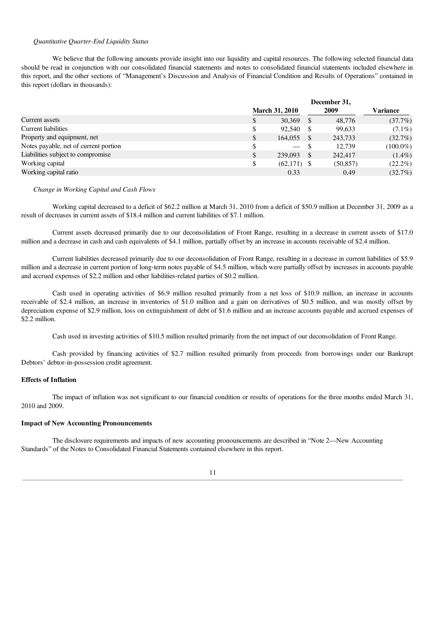#### *Quantitative Quarter-End Liquidity Status*

We believe that the following amounts provide insight into our liquidity and capital resources. The following selected financial data should be read in conjunction with our consolidated financial statements and notes to consolidated financial statements included elsewhere in this report, and the other sections of "Management's Discussion and Analysis of Financial Condition and Results of Operations" contained in this report (dollars in thousands):

|                                       |    | December 31,             |  |           |             |  |
|---------------------------------------|----|--------------------------|--|-----------|-------------|--|
|                                       |    | <b>March 31, 2010</b>    |  | 2009      | Variance    |  |
| Current assets                        | S  | 30,369                   |  | 48,776    | (37.7%)     |  |
| <b>Current liabilities</b>            | \$ | 92,540                   |  | 99,633    | $(7.1\%)$   |  |
| Property and equipment, net           | \$ | 164,055                  |  | 243,733   | (32.7%)     |  |
| Notes payable, net of current portion | \$ | $\overline{\phantom{a}}$ |  | 12.739    | $(100.0\%)$ |  |
| Liabilities subject to compromise     | \$ | 239,093                  |  | 242,417   | $(1.4\%)$   |  |
| Working capital                       | \$ | $(62,171)$ \$            |  | (50, 857) | $(22.2\%)$  |  |
| Working capital ratio                 |    | 0.33                     |  | 0.49      | $(32.7\%)$  |  |

#### *Change in Working Capital and Cash Flows*

Working capital decreased to a deficit of \$62.2 million at March 31, 2010 from a deficit of \$50.9 million at December 31, 2009 as a result of decreases in current assets of \$18.4 million and current liabilities of \$7.1 million.

Current assets decreased primarily due to our deconsolidation of Front Range, resulting in a decrease in current assets of \$17.0 million and a decrease in cash and cash equivalents of \$4.1 million, partially offset by an increase in accounts receivable of \$2.4 million.

Current liabilities decreased primarily due to our deconsolidation of Front Range, resulting in a decrease in current liabilities of \$5.9 million and a decrease in current portion of long-term notes payable of \$4.5 million, which were partially offset by increases in accounts payable and accrued expenses of \$2.2 million and other liabilities-related parties of \$0.2 million.

Cash used in operating activities of \$6.9 million resulted primarily from a net loss of \$10.9 million, an increase in accounts receivable of \$2.4 million, an increase in inventories of \$1.0 million and a gain on derivatives of \$0.5 million, and was mostly offset by depreciation expense of \$2.9 million, loss on extinguishment of debt of \$1.6 million and an increase accounts payable and accrued expenses of \$2.2 million.

Cash used in investing activities of \$10.5 million resulted primarily from the net impact of our deconsolidation of Front Range.

Cash provided by financing activities of \$2.7 million resulted primarily from proceeds from borrowings under our Bankrupt Debtors' debtor-in-possession credit agreement.

#### Effects of Inflation

The impact of inflation was not significant to our financial condition or results of operations for the three months ended March 31, 2010 and 2009.

### Impact of New Accounting Pronouncements

The disclosure requirements and impacts of new accounting pronouncements are described in "Note 2—New Accounting Standards" of the Notes to Consolidated Financial Statements contained elsewhere in this report.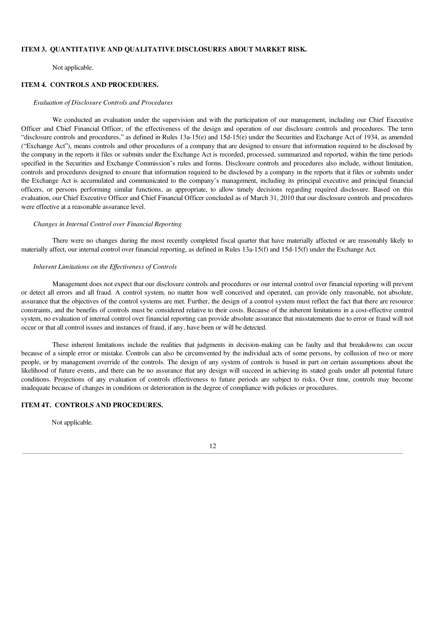## ITEM 3. QUANTITATIVE AND QUALITATIVE DISCLOSURES ABOUT MARKET RISK.

Not applicable.

## ITEM 4. CONTROLS AND PROCEDURES.

#### *Evaluation of Disclosure Controls and Procedures*

We conducted an evaluation under the supervision and with the participation of our management, including our Chief Executive Officer and Chief Financial Officer, of the effectiveness of the design and operation of our disclosure controls and procedures. The term "disclosure controls and procedures," as defined in Rules 13a-15(e) and 15d-15(e) under the Securities and Exchange Act of 1934, as amended ("Exchange Act"), means controls and other procedures of a company that are designed to ensure that information required to be disclosed by the company in the reports it files or submits under the Exchange Act is recorded, processed, summarized and reported, within the time periods specified in the Securities and Exchange Commission's rules and forms. Disclosure controls and procedures also include, without limitation, controls and procedures designed to ensure that information required to be disclosed by a company in the reports that it files or submits under the Exchange Act is accumulated and communicated to the company's management, including its principal executive and principal financial officers, or persons performing similar functions, as appropriate, to allow timely decisions regarding required disclosure. Based on this evaluation, our Chief Executive Officer and Chief Financial Officer concluded as of March 31, 2010 that our disclosure controls and procedures were effective at a reasonable assurance level.

#### *Changes in Internal Control over Financial Reporting*

There were no changes during the most recently completed fiscal quarter that have materially affected or are reasonably likely to materially affect, our internal control over financial reporting, as defined in Rules 13a-15(f) and 15d-15(f) under the Exchange Act.

## *Inherent Limitations on the Ef ectiveness of Controls*

Management does not expect that our disclosure controls and procedures or our internal control over financial reporting will prevent or detect all errors and all fraud. A control system, no matter how well conceived and operated, can provide only reasonable, not absolute, assurance that the objectives of the control systems are met. Further, the design of a control system must reflect the fact that there are resource constraints, and the benefits of controls must be considered relative to their costs. Because of the inherent limitations in a cost-effective control system, no evaluation of internal control over financial reporting can provide absolute assurance that misstatements due to error or fraud will not occur or that all control issues and instances of fraud, if any, have been or will be detected.

These inherent limitations include the realities that judgments in decision-making can be faulty and that breakdowns can occur because of a simple error or mistake. Controls can also be circumvented by the individual acts of some persons, by collusion of two or more people, or by management override of the controls. The design of any system of controls is based in part on certain assumptions about the likelihood of future events, and there can be no assurance that any design will succeed in achieving its stated goals under all potential future conditions. Projections of any evaluation of controls effectiveness to future periods are subject to risks. Over time, controls may become inadequate because of changes in conditions or deterioration in the degree of compliance with policies or procedures.

## ITEM 4T. CONTROLS AND PROCEDURES.

Not applicable.

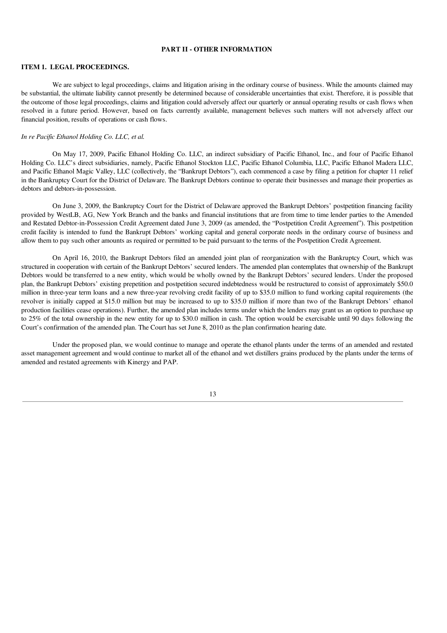## PART II - OTHER INFORMATION

#### ITEM 1. LEGAL PROCEEDINGS.

We are subject to legal proceedings, claims and litigation arising in the ordinary course of business. While the amounts claimed may be substantial, the ultimate liability cannot presently be determined because of considerable uncertainties that exist. Therefore, it is possible that the outcome of those legal proceedings, claims and litigation could adversely affect our quarterly or annual operating results or cash flows when resolved in a future period. However, based on facts currently available, management believes such matters will not adversely affect our financial position, results of operations or cash flows.

#### *In re Pacific Ethanol Holding Co. LLC, et al.*

On May 17, 2009, Pacific Ethanol Holding Co. LLC, an indirect subsidiary of Pacific Ethanol, Inc., and four of Pacific Ethanol Holding Co. LLC's direct subsidiaries, namely, Pacific Ethanol Stockton LLC, Pacific Ethanol Columbia, LLC, Pacific Ethanol Madera LLC, and Pacific Ethanol Magic Valley, LLC (collectively, the "Bankrupt Debtors"), each commenced a case by filing a petition for chapter 11 relief in the Bankruptcy Court for the District of Delaware. The Bankrupt Debtors continue to operate their businesses and manage their properties as debtors and debtors-in-possession.

On June 3, 2009, the Bankruptcy Court for the District of Delaware approved the Bankrupt Debtors' postpetition financing facility provided by WestLB, AG, New York Branch and the banks and financial institutions that are from time to time lender parties to the Amended and Restated Debtor-in-Possession Credit Agreement dated June 3, 2009 (as amended, the "Postpetition Credit Agreement"). This postpetition credit facility is intended to fund the Bankrupt Debtors' working capital and general corporate needs in the ordinary course of business and allow them to pay such other amounts as required or permitted to be paid pursuant to the terms of the Postpetition Credit Agreement.

On April 16, 2010, the Bankrupt Debtors filed an amended joint plan of reorganization with the Bankruptcy Court, which was structured in cooperation with certain of the Bankrupt Debtors' secured lenders. The amended plan contemplates that ownership of the Bankrupt Debtors would be transferred to a new entity, which would be wholly owned by the Bankrupt Debtors' secured lenders. Under the proposed plan, the Bankrupt Debtors' existing prepetition and postpetition secured indebtedness would be restructured to consist of approximately \$50.0 million in three-year term loans and a new three-year revolving credit facility of up to \$35.0 million to fund working capital requirements (the revolver is initially capped at \$15.0 million but may be increased to up to \$35.0 million if more than two of the Bankrupt Debtors' ethanol production facilities cease operations). Further, the amended plan includes terms under which the lenders may grant us an option to purchase up to 25% of the total ownership in the new entity for up to \$30.0 million in cash. The option would be exercisable until 90 days following the Court's confirmation of the amended plan. The Court has set June 8, 2010 as the plan confirmation hearing date.

Under the proposed plan, we would continue to manage and operate the ethanol plants under the terms of an amended and restated asset management agreement and would continue to market all of the ethanol and wet distillers grains produced by the plants under the terms of amended and restated agreements with Kinergy and PAP.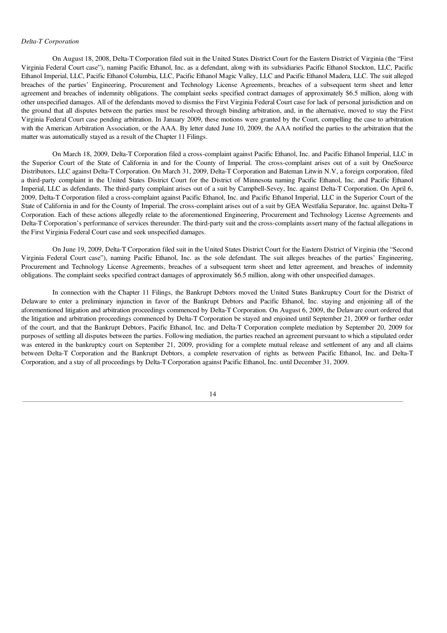#### *Delta-T Corporation*

On August 18, 2008, Delta-T Corporation filed suit in the United States District Court for the Eastern District of Virginia (the "First Virginia Federal Court case"), naming Pacific Ethanol, Inc. as a defendant, along with its subsidiaries Pacific Ethanol Stockton, LLC, Pacific Ethanol Imperial, LLC, Pacific Ethanol Columbia, LLC, Pacific Ethanol Magic Valley, LLC and Pacific Ethanol Madera, LLC. The suit alleged breaches of the parties' Engineering, Procurement and Technology License Agreements, breaches of a subsequent term sheet and letter agreement and breaches of indemnity obligations. The complaint seeks specified contract damages of approximately \$6.5 million, along with other unspecified damages. All of the defendants moved to dismiss the First Virginia Federal Court case for lack of personal jurisdiction and on the ground that all disputes between the parties must be resolved through binding arbitration, and, in the alternative, moved to stay the First Virginia Federal Court case pending arbitration. In January 2009, these motions were granted by the Court, compelling the case to arbitration with the American Arbitration Association, or the AAA. By letter dated June 10, 2009, the AAA notified the parties to the arbitration that the matter was automatically stayed as a result of the Chapter 11 Filings.

On March 18, 2009, Delta-T Corporation filed a cross-complaint against Pacific Ethanol, Inc. and Pacific Ethanol Imperial, LLC in the Superior Court of the State of California in and for the County of Imperial. The cross-complaint arises out of a suit by OneSource Distributors, LLC against Delta-T Corporation. On March 31, 2009, Delta-T Corporation and Bateman Litwin N.V, a foreign corporation, filed a third-party complaint in the United States District Court for the District of Minnesota naming Pacific Ethanol, Inc. and Pacific Ethanol Imperial, LLC as defendants. The third-party complaint arises out of a suit by Campbell-Sevey, Inc. against Delta-T Corporation. On April 6, 2009, Delta-T Corporation filed a cross-complaint against Pacific Ethanol, Inc. and Pacific Ethanol Imperial, LLC in the Superior Court of the State of California in and for the County of Imperial. The cross-complaint arises out of a suit by GEA Westfalia Separator, Inc. against Delta-T Corporation. Each of these actions allegedly relate to the aforementioned Engineering, Procurement and Technology License Agreements and Delta-T Corporation's performance of services thereunder. The third-party suit and the cross-complaints assert many of the factual allegations in the First Virginia Federal Court case and seek unspecified damages.

On June 19, 2009, Delta-T Corporation filed suit in the United States District Court for the Eastern District of Virginia (the "Second Virginia Federal Court case"), naming Pacific Ethanol, Inc. as the sole defendant. The suit alleges breaches of the parties' Engineering, Procurement and Technology License Agreements, breaches of a subsequent term sheet and letter agreement, and breaches of indemnity obligations. The complaint seeks specified contract damages of approximately \$6.5 million, along with other unspecified damages.

In connection with the Chapter 11 Filings, the Bankrupt Debtors moved the United States Bankruptcy Court for the District of Delaware to enter a preliminary injunction in favor of the Bankrupt Debtors and Pacific Ethanol, Inc. staying and enjoining all of the aforementioned litigation and arbitration proceedings commenced by Delta-T Corporation. On August 6, 2009, the Delaware court ordered that the litigation and arbitration proceedings commenced by Delta-T Corporation be stayed and enjoined until September 21, 2009 or further order of the court, and that the Bankrupt Debtors, Pacific Ethanol, Inc. and Delta-T Corporation complete mediation by September 20, 2009 for purposes of settling all disputes between the parties. Following mediation, the parties reached an agreement pursuant to which a stipulated order was entered in the bankruptcy court on September 21, 2009, providing for a complete mutual release and settlement of any and all claims between Delta-T Corporation and the Bankrupt Debtors, a complete reservation of rights as between Pacific Ethanol, Inc. and Delta-T Corporation, and a stay of all proceedings by Delta-T Corporation against Pacific Ethanol, Inc. until December 31, 2009.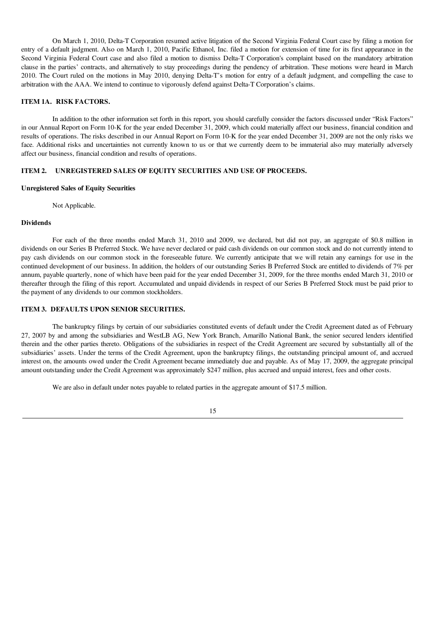On March 1, 2010, Delta-T Corporation resumed active litigation of the Second Virginia Federal Court case by filing a motion for entry of a default judgment. Also on March 1, 2010, Pacific Ethanol, Inc. filed a motion for extension of time for its first appearance in the Second Virginia Federal Court case and also filed a motion to dismiss Delta-T Corporation's complaint based on the mandatory arbitration clause in the parties' contracts, and alternatively to stay proceedings during the pendency of arbitration. These motions were heard in March 2010. The Court ruled on the motions in May 2010, denying Delta-T's motion for entry of a default judgment, and compelling the case to arbitration with the AAA. We intend to continue to vigorously defend against Delta-T Corporation's claims.

### ITEM 1A. RISK FACTORS.

In addition to the other information set forth in this report, you should carefully consider the factors discussed under "Risk Factors" in our Annual Report on Form 10-K for the year ended December 31, 2009, which could materially affect our business, financial condition and results of operations. The risks described in our Annual Report on Form 10-K for the year ended December 31, 2009 are not the only risks we face. Additional risks and uncertainties not currently known to us or that we currently deem to be immaterial also may materially adversely affect our business, financial condition and results of operations.

## ITEM 2. UNREGISTERED SALES OF EQUITY SECURITIES AND USE OF PROCEEDS.

### Unregistered Sales of Equity Securities

Not Applicable.

## Dividends

For each of the three months ended March 31, 2010 and 2009, we declared, but did not pay, an aggregate of \$0.8 million in dividends on our Series B Preferred Stock. We have never declared or paid cash dividends on our common stock and do not currently intend to pay cash dividends on our common stock in the foreseeable future. We currently anticipate that we will retain any earnings for use in the continued development of our business. In addition, the holders of our outstanding Series B Preferred Stock are entitled to dividends of 7% per annum, payable quarterly, none of which have been paid for the year ended December 31, 2009, for the three months ended March 31, 2010 or thereafter through the filing of this report. Accumulated and unpaid dividends in respect of our Series B Preferred Stock must be paid prior to the payment of any dividends to our common stockholders.

## ITEM 3. DEFAULTS UPON SENIOR SECURITIES.

The bankruptcy filings by certain of our subsidiaries constituted events of default under the Credit Agreement dated as of February 27, 2007 by and among the subsidiaries and WestLB AG, New York Branch, Amarillo National Bank, the senior secured lenders identified therein and the other parties thereto. Obligations of the subsidiaries in respect of the Credit Agreement are secured by substantially all of the subsidiaries' assets. Under the terms of the Credit Agreement, upon the bankruptcy filings, the outstanding principal amount of, and accrued interest on, the amounts owed under the Credit Agreement became immediately due and payable. As of May 17, 2009, the aggregate principal amount outstanding under the Credit Agreement was approximately \$247 million, plus accrued and unpaid interest, fees and other costs.

We are also in default under notes payable to related parties in the aggregate amount of \$17.5 million.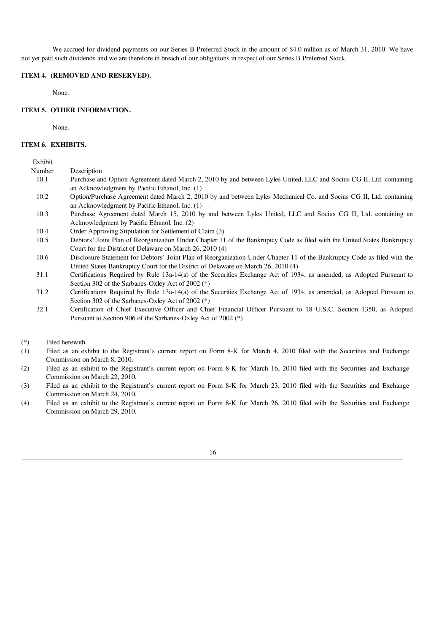We accrued for dividend payments on our Series B Preferred Stock in the amount of \$4.0 million as of March 31, 2010. We have not yet paid such dividends and we are therefore in breach of our obligations in respect of our Series B Preferred Stock.

### ITEM 4. (REMOVED AND RESERVED).

None.

## ITEM 5. OTHER INFORMATION.

None.

## ITEM 6. EXHIBITS.

## Exhibit

| Number | Description                                                                                                              |
|--------|--------------------------------------------------------------------------------------------------------------------------|
| 10.1   | Purchase and Option Agreement dated March 2, 2010 by and between Lyles United, LLC and Socius CG II, Ltd. containing     |
|        | an Acknowledgment by Pacific Ethanol, Inc. (1)                                                                           |
| 10.2   | Option/Purchase Agreement dated March 2, 2010 by and between Lyles Mechanical Co. and Socius CG II, Ltd. containing      |
|        | an Acknowledgment by Pacific Ethanol, Inc. (1)                                                                           |
| 10.3   | Purchase Agreement dated March 15, 2010 by and between Lyles United, LLC and Socius CG II, Ltd. containing an            |
|        | Acknowledgment by Pacific Ethanol, Inc. (2)                                                                              |
| 10.4   | Order Approving Stipulation for Settlement of Claim (3)                                                                  |
| 10.5   | Debtors' Joint Plan of Reorganization Under Chapter 11 of the Bankruptcy Code as filed with the United States Bankruptcy |
|        | Court for the District of Delaware on March 26, 2010 (4)                                                                 |
| 10.6   | Disclosure Statement for Debtors' Joint Plan of Reorganization Under Chapter 11 of the Bankruptcy Code as filed with the |
|        | United States Bankruptcy Court for the District of Delaware on March 26, 2010 (4)                                        |
| 31.1   | Certifications Required by Rule 13a-14(a) of the Securities Exchange Act of 1934, as amended, as Adopted Pursuant to     |
|        | Section 302 of the Sarbanes-Oxley Act of 2002 (*)                                                                        |
| 31.2   | Certifications Required by Rule 13a-14(a) of the Securities Exchange Act of 1934, as amended, as Adopted Pursuant to     |
|        | Section 302 of the Sarbanes-Oxley Act of 2002 (*)                                                                        |

<sup>32.1</sup> Certification of Chief Executive Officer and Chief Financial Officer Pursuant to 18 U.S.C. Section 1350, as Adopted Pursuant to Section 906 of the Sarbanes-Oxley Act of 2002 (\*)



<sup>(\*)</sup> Filed herewith.

<sup>(1)</sup> Filed as an exhibit to the Registrant's current report on Form 8-K for March 4, 2010 filed with the Securities and Exchange Commission on March 8, 2010.

<sup>(2)</sup> Filed as an exhibit to the Registrant's current report on Form 8-K for March 16, 2010 filed with the Securities and Exchange Commission on March 22, 2010.

<sup>(3)</sup> Filed as an exhibit to the Registrant's current report on Form 8-K for March 23, 2010 filed with the Securities and Exchange Commission on March 24, 2010.

<sup>(4)</sup> Filed as an exhibit to the Registrant's current report on Form 8-K for March 26, 2010 filed with the Securities and Exchange Commission on March 29, 2010.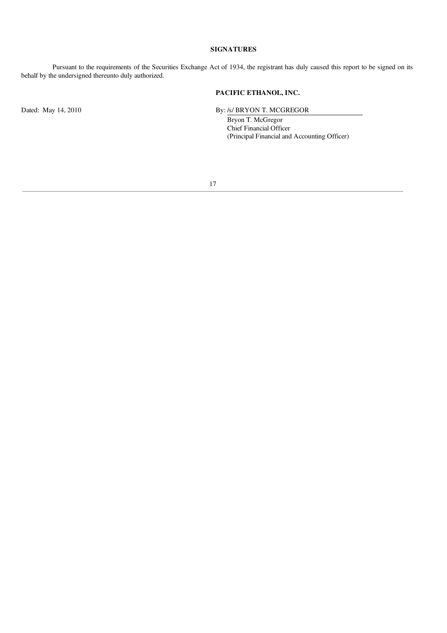## SIGNATURES

Pursuant to the requirements of the Securities Exchange Act of 1934, the registrant has duly caused this report to be signed on its behalf by the undersigned thereunto duly authorized.

## PACIFIC ETHANOL, INC.

Dated: May 14, 2010 By: /s/ BRYON T. MCGREGOR

Bryon T. McGregor Chief Financial Officer (Principal Financial and Accounting Officer)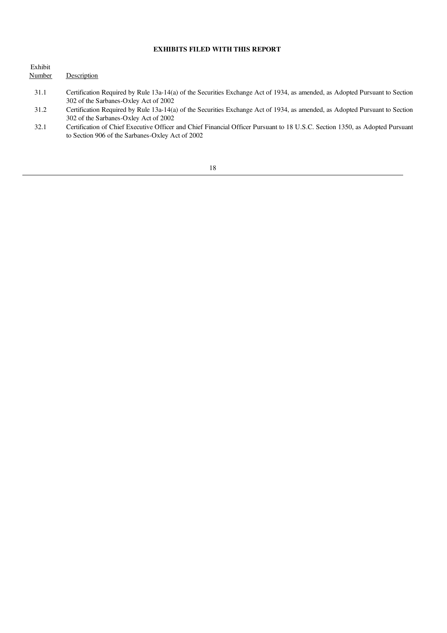## EXHIBITS FILED WITH THIS REPORT

| Number<br>Description |                                                                                                                                                                                  |
|-----------------------|----------------------------------------------------------------------------------------------------------------------------------------------------------------------------------|
| 31.1                  | Certification Required by Rule 13a-14(a) of the Securities Exchange Act of 1934, as amended, as Adopted Pursuant to Section<br>302 of the Sarbanes-Oxley Act of 2002             |
| 31.2                  | Certification Required by Rule 13a-14(a) of the Securities Exchange Act of 1934, as amended, as Adopted Pursuant to Section<br>302 of the Sarbanes-Oxley Act of 2002             |
| 32.1                  | Certification of Chief Executive Officer and Chief Financial Officer Pursuant to 18 U.S.C. Section 1350, as Adopted Pursuant<br>to Section 906 of the Sarbanes-Oxley Act of 2002 |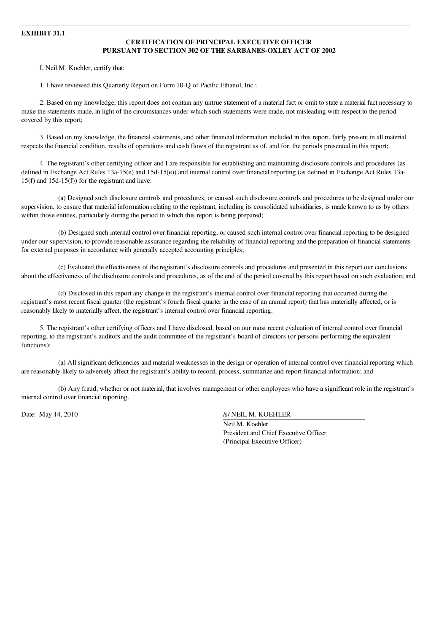## EXHIBIT 31.1

## CERTIFICATION OF PRINCIPAL EXECUTIVE OFFICER PURSUANT TO SECTION 302 OF THE SARBANES-OXLEY ACT OF 2002

I, Neil M. Koehler, certify that:

1. I have reviewed this Quarterly Report on Form 10-Q of Pacific Ethanol, Inc.;

2. Based on my knowledge, this report does not contain any untrue statement of a material fact or omit to state a material fact necessary to make the statements made, in light of the circumstances under which such statements were made, not misleading with respect to the period covered by this report;

3. Based on my knowledge, the financial statements, and other financial information included in this report, fairly present in all material respects the financial condition, results of operations and cash flows of the registrant as of, and for, the periods presented in this report;

4. The registrant's other certifying officer and I are responsible for establishing and maintaining disclosure controls and procedures (as defined in Exchange Act Rules 13a-15(e) and 15d-15(e)) and internal control over financial reporting (as defined in Exchange Act Rules 13a-15(f) and 15d-15(f)) for the registrant and have:

(a) Designed such disclosure controls and procedures, or caused such disclosure controls and procedures to be designed under our supervision, to ensure that material information relating to the registrant, including its consolidated subsidiaries, is made known to us by others within those entities, particularly during the period in which this report is being prepared;

(b) Designed such internal control over financial reporting, or caused such internal control over financial reporting to be designed under our supervision, to provide reasonable assurance regarding the reliability of financial reporting and the preparation of financial statements for external purposes in accordance with generally accepted accounting principles;

(c) Evaluated the effectiveness of the registrant's disclosure controls and procedures and presented in this report our conclusions about the effectiveness of the disclosure controls and procedures, as of the end of the period covered by this report based on such evaluation; and

(d) Disclosed in this report any change in the registrant's internal control over financial reporting that occurred during the registrant's most recent fiscal quarter (the registrant's fourth fiscal quarter in the case of an annual report) that has materially affected, or is reasonably likely to materially affect, the registrant's internal control over financial reporting.

5. The registrant's other certifying officers and I have disclosed, based on our most recent evaluation of internal control over financial reporting, to the registrant's auditors and the audit committee of the registrant's board of directors (or persons performing the equivalent functions):

(a) All significant deficiencies and material weaknesses in the design or operation of internal control over financial reporting which are reasonably likely to adversely affect the registrant's ability to record, process, summarize and report financial information; and

(b) Any fraud, whether or not material, that involves management or other employees who have a significant role in the registrant's internal control over financial reporting.

Date: May 14, 2010 /s/ NEIL M. KOEHLER

Neil M. Koehler President and Chief Executive Officer (Principal Executive Officer)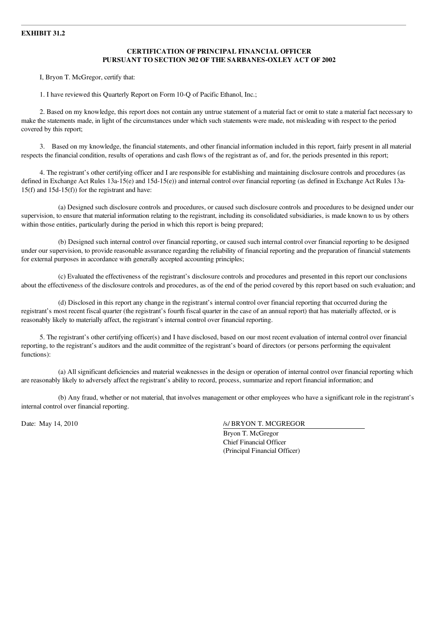## EXHIBIT 31.2

## CERTIFICATION OF PRINCIPAL FINANCIAL OFFICER PURSUANT TO SECTION 302 OF THE SARBANES-OXLEY ACT OF 2002

I, Bryon T. McGregor, certify that:

1. I have reviewed this Quarterly Report on Form 10-Q of Pacific Ethanol, Inc.;

2. Based on my knowledge, this report does not contain any untrue statement of a material fact or omit to state a material fact necessary to make the statements made, in light of the circumstances under which such statements were made, not misleading with respect to the period covered by this report;

3. Based on my knowledge, the financial statements, and other financial information included in this report, fairly present in all material respects the financial condition, results of operations and cash flows of the registrant as of, and for, the periods presented in this report;

4. The registrant's other certifying officer and I are responsible for establishing and maintaining disclosure controls and procedures (as defined in Exchange Act Rules 13a-15(e) and 15d-15(e)) and internal control over financial reporting (as defined in Exchange Act Rules 13a-15(f) and 15d-15(f)) for the registrant and have:

(a) Designed such disclosure controls and procedures, or caused such disclosure controls and procedures to be designed under our supervision, to ensure that material information relating to the registrant, including its consolidated subsidiaries, is made known to us by others within those entities, particularly during the period in which this report is being prepared;

(b) Designed such internal control over financial reporting, or caused such internal control over financial reporting to be designed under our supervision, to provide reasonable assurance regarding the reliability of financial reporting and the preparation of financial statements for external purposes in accordance with generally accepted accounting principles;

(c) Evaluated the effectiveness of the registrant's disclosure controls and procedures and presented in this report our conclusions about the effectiveness of the disclosure controls and procedures, as of the end of the period covered by this report based on such evaluation; and

(d) Disclosed in this report any change in the registrant's internal control over financial reporting that occurred during the registrant's most recent fiscal quarter (the registrant's fourth fiscal quarter in the case of an annual report) that has materially affected, or is reasonably likely to materially affect, the registrant's internal control over financial reporting.

5. The registrant's other certifying officer(s) and I have disclosed, based on our most recent evaluation of internal control over financial reporting, to the registrant's auditors and the audit committee of the registrant's board of directors (or persons performing the equivalent functions):

(a) All significant deficiencies and material weaknesses in the design or operation of internal control over financial reporting which are reasonably likely to adversely affect the registrant's ability to record, process, summarize and report financial information; and

(b) Any fraud, whether or not material, that involves management or other employees who have a significant role in the registrant's internal control over financial reporting.

Date: May 14, 2010 /s/ BRYON T. MCGREGOR

Bryon T. McGregor Chief Financial Officer (Principal Financial Officer)